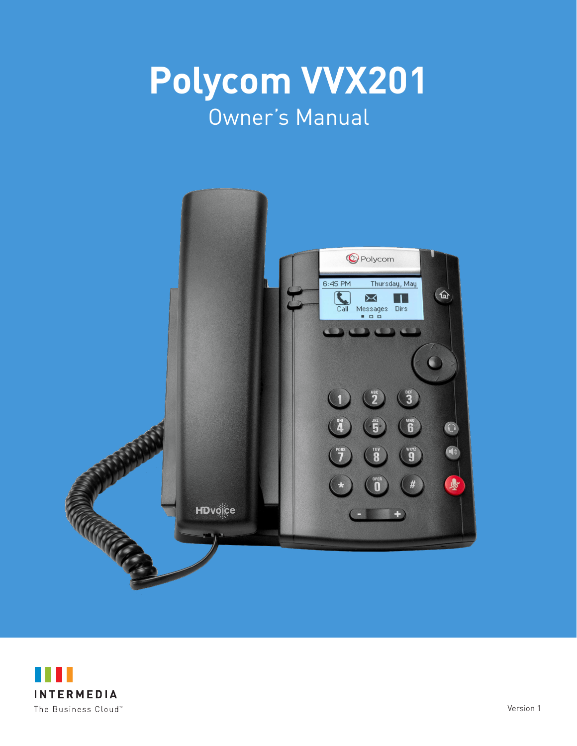



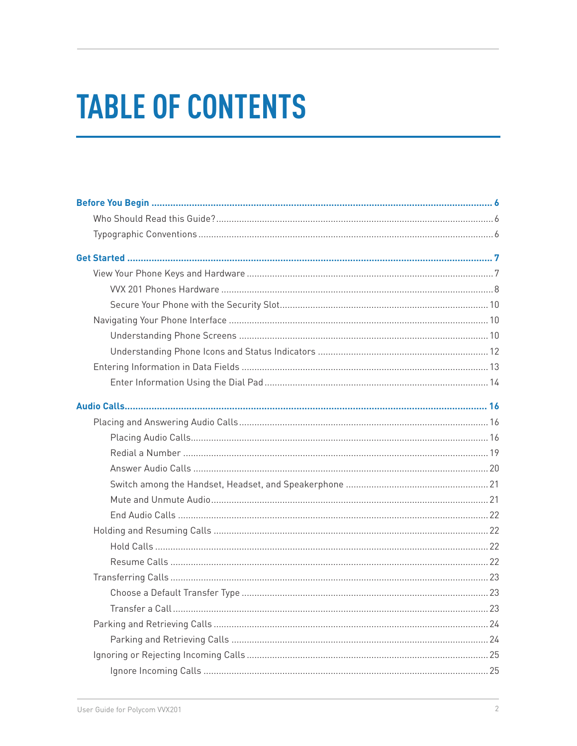# **TABLE OF CONTENTS**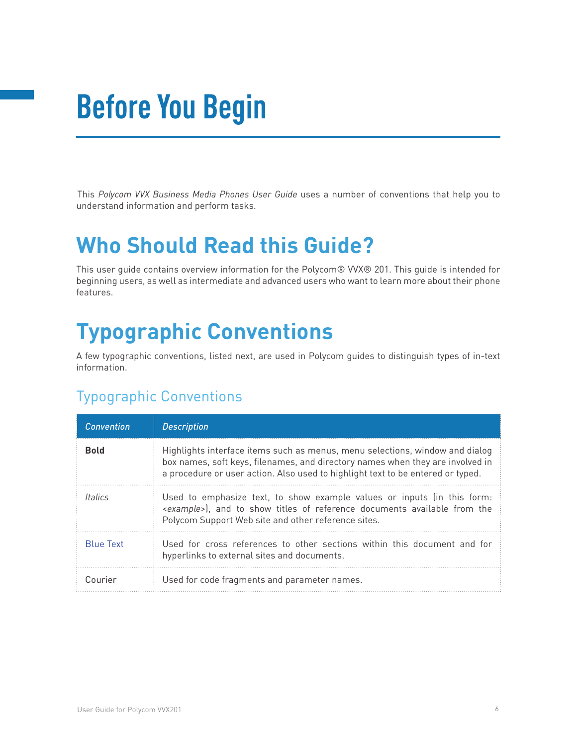# **Before You Begin**

This *Polycom VVX Business Media Phones User Guide* uses a number of conventions that help you to understand information and perform tasks.

# **Who Should Read this Guide?**

This user guide contains overview information for the Polycom® VVX® 201. This guide is intended for beginning users, as well as intermediate and advanced users who want to learn more about their phone features.

# **Typographic Conventions**

A few typographic conventions, listed next, are used in Polycom guides to distinguish types of in-text information.

# Typographic Conventions

| <b>Convention</b> | <b>Description</b>                                                                                                                                                                                                                                |
|-------------------|---------------------------------------------------------------------------------------------------------------------------------------------------------------------------------------------------------------------------------------------------|
| <b>Bold</b>       | Highlights interface items such as menus, menu selections, window and dialog<br>box names, soft keys, filenames, and directory names when they are involved in<br>a procedure or user action. Also used to highlight text to be entered or typed. |
| <i>Italics</i>    | Used to emphasize text, to show example values or inputs (in this form:<br><example>), and to show titles of reference documents available from the<br/>Polycom Support Web site and other reference sites.</example>                             |
| <b>Blue Text</b>  | Used for cross references to other sections within this document and for<br>hyperlinks to external sites and documents.                                                                                                                           |
| Courier           | Used for code fragments and parameter names.                                                                                                                                                                                                      |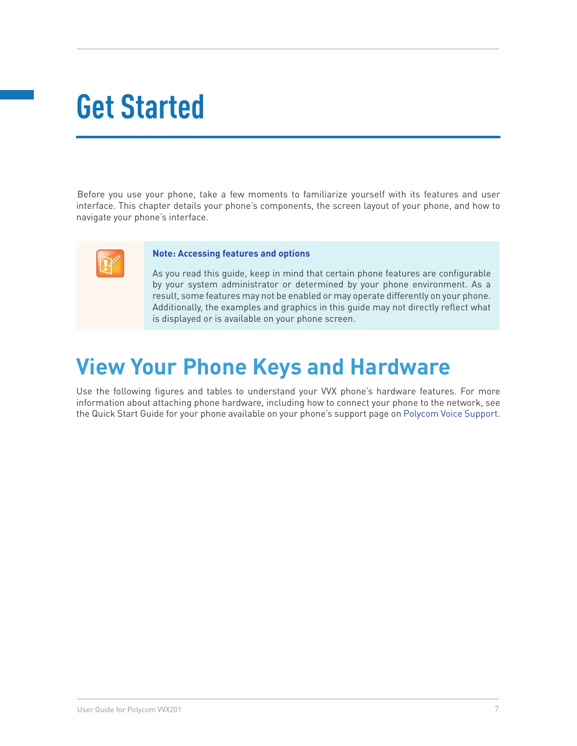# **Get Started**

Before you use your phone, take a few moments to familiarize yourself with its features and user interface. This chapter details your phone's components, the screen layout of your phone, and how to navigate your phone's interface.



#### **Note: Accessing features and options**

As you read this guide, keep in mind that certain phone features are configurable by your system administrator or determined by your phone environment. As a result, some features may not be enabled or may operate differently on your phone. Additionally, the examples and graphics in this guide may not directly reflect what is displayed or is available on your phone screen.

# **View Your Phone Keys and Hardware**

Use the following figures and tables to understand your VVX phone's hardware features. For more information about attaching phone hardware, including how to connect your phone to the network, see the Quick Start Guide for your phone available on your phone's support page on Polycom Voice Support.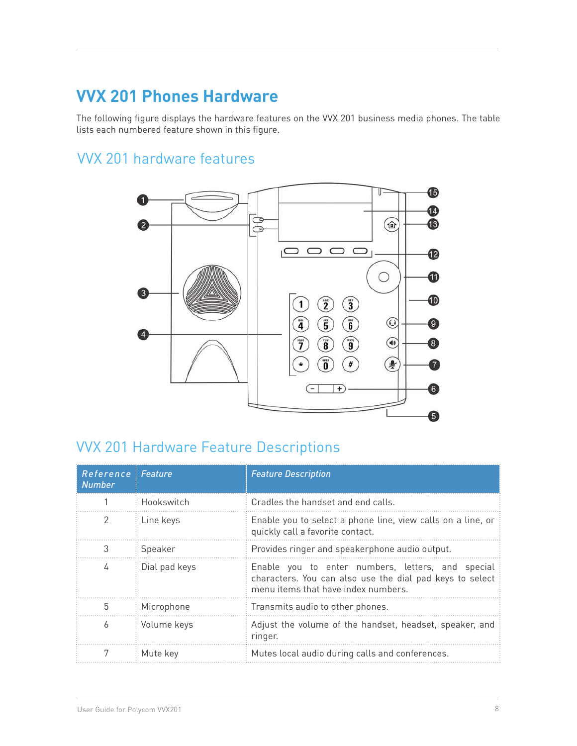# **VVX 201 Phones Hardware**

The following figure displays the hardware features on the VVX 201 business media phones. The table lists each numbered feature shown in this figure.

# VVX 201 hardware features



# VVX 201 Hardware Feature Descriptions

| Reference<br><b>Number</b> | <b>Feature</b> | <b>Feature Description</b>                                                                                                                           |
|----------------------------|----------------|------------------------------------------------------------------------------------------------------------------------------------------------------|
|                            | Hookswitch     | Cradles the handset and end calls.                                                                                                                   |
| 2                          | Line keys      | Enable you to select a phone line, view calls on a line, or<br>quickly call a favorite contact.                                                      |
| 3                          | Speaker        | Provides ringer and speakerphone audio output.                                                                                                       |
| 4                          | Dial pad keys  | Enable you to enter numbers, letters, and special<br>characters. You can also use the dial pad keys to select<br>menu items that have index numbers. |
| 5                          | Microphone     | Transmits audio to other phones.                                                                                                                     |
| 6                          | Volume keys    | Adjust the volume of the handset, headset, speaker, and<br>ringer.                                                                                   |
|                            | Mute key       | Mutes local audio during calls and conferences.                                                                                                      |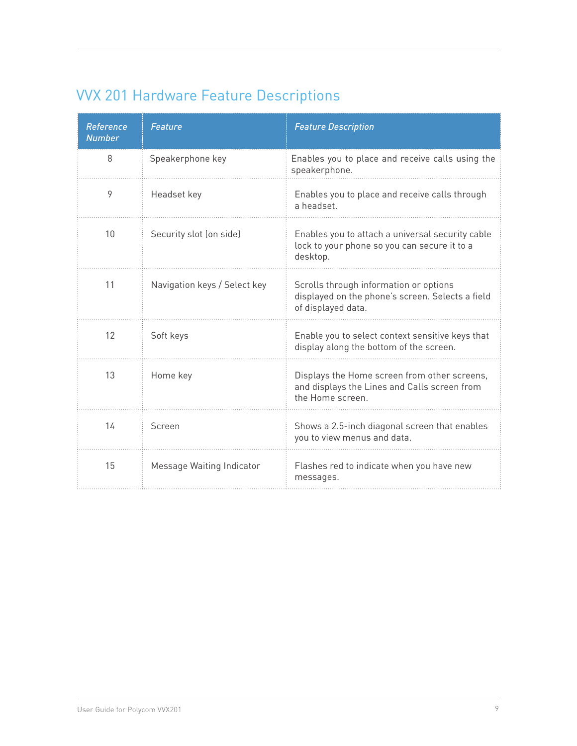# VVX 201 Hardware Feature Descriptions

| <b>Reference</b><br><b>Number</b> | <b>Feature</b>               | <b>Feature Description</b>                                                                                       |
|-----------------------------------|------------------------------|------------------------------------------------------------------------------------------------------------------|
| 8                                 | Speakerphone key             | Enables you to place and receive calls using the<br>speakerphone.                                                |
| 9                                 | Headset key                  | Enables you to place and receive calls through<br>a headset.                                                     |
| 10                                | Security slot (on side)      | Enables you to attach a universal security cable<br>lock to your phone so you can secure it to a<br>desktop.     |
| 11                                | Navigation keys / Select key | Scrolls through information or options<br>displayed on the phone's screen. Selects a field<br>of displayed data. |
| 12                                | Soft keys                    | Enable you to select context sensitive keys that<br>display along the bottom of the screen.                      |
| 13                                | Home key                     | Displays the Home screen from other screens,<br>and displays the Lines and Calls screen from<br>the Home screen. |
| 14                                | Screen                       | Shows a 2.5-inch diagonal screen that enables<br>you to view menus and data.                                     |
| 15                                | Message Waiting Indicator    | Flashes red to indicate when you have new<br>messages.                                                           |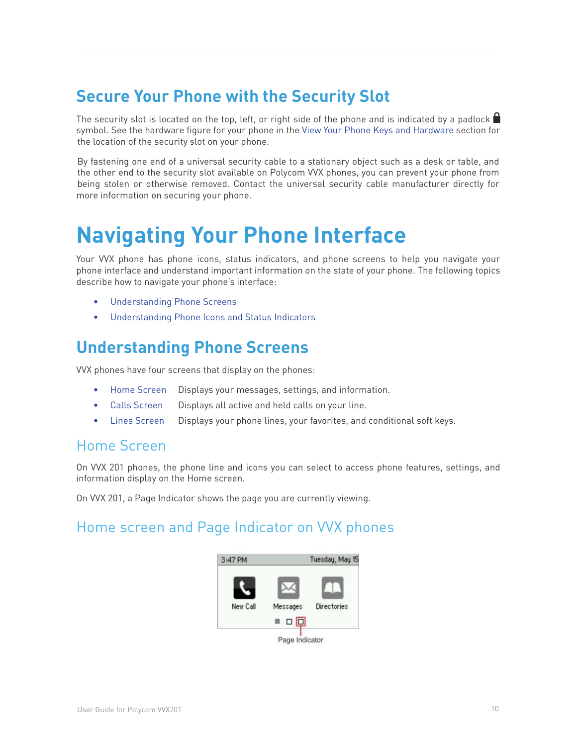# **Secure Your Phone with the Security Slot**

The security slot is located on the top, left, or right side of the phone and is indicated by a padlock  $\blacksquare$ symbol. See the hardware figure for your phone in the View Your Phone Keys and Hardware section for the location of the security slot on your phone.

By fastening one end of a universal security cable to a stationary object such as a desk or table, and the other end to the security slot available on Polycom VVX phones, you can prevent your phone from being stolen or otherwise removed. Contact the universal security cable manufacturer directly for more information on securing your phone.

# **Navigating Your Phone Interface**

Your VVX phone has phone icons, status indicators, and phone screens to help you navigate your phone interface and understand important information on the state of your phone. The following topics describe how to navigate your phone's interface:

- Understanding Phone Screens
- • Understanding Phone Icons and Status Indicators

# **Understanding Phone Screens**

VVX phones have four screens that display on the phones:

- Home Screen Displays your messages, settings, and information.
- Calls Screen Displays all active and held calls on your line.
- Lines Screen Displays your phone lines, your favorites, and conditional soft keys.

#### Home Screen

On VVX 201 phones, the phone line and icons you can select to access phone features, settings, and information display on the Home screen.

On VVX 201, a Page Indicator shows the page you are currently viewing.

#### Home screen and Page Indicator on VVX phones

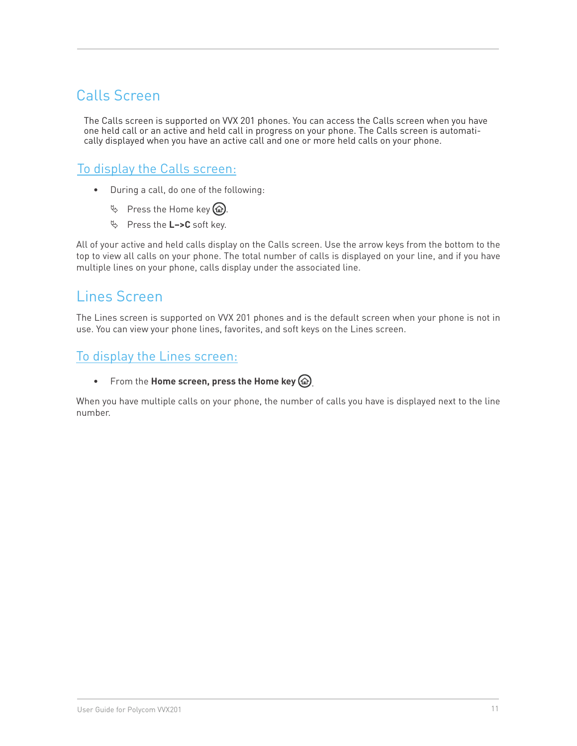## Calls Screen

The Calls screen is supported on VVX 201 phones. You can access the Calls screen when you have one held call or an active and held call in progress on your phone. The Calls screen is automatically displayed when you have an active call and one or more held calls on your phone.

#### To display the Calls screen:

- • During a call, do one of the following:
	- $\%$  Press the Home key  $\circledR$ .
	- ª Press the **L–>C** soft key.

All of your active and held calls display on the Calls screen. Use the arrow keys from the bottom to the top to view all calls on your phone. The total number of calls is displayed on your line, and if you have multiple lines on your phone, calls display under the associated line.

## Lines Screen

The Lines screen is supported on VVX 201 phones and is the default screen when your phone is not in use. You can view your phone lines, favorites, and soft keys on the Lines screen.

#### To display the Lines screen:

• From the **Home screen, press the Home key**  $\omega$ .

When you have multiple calls on your phone, the number of calls you have is displayed next to the line number.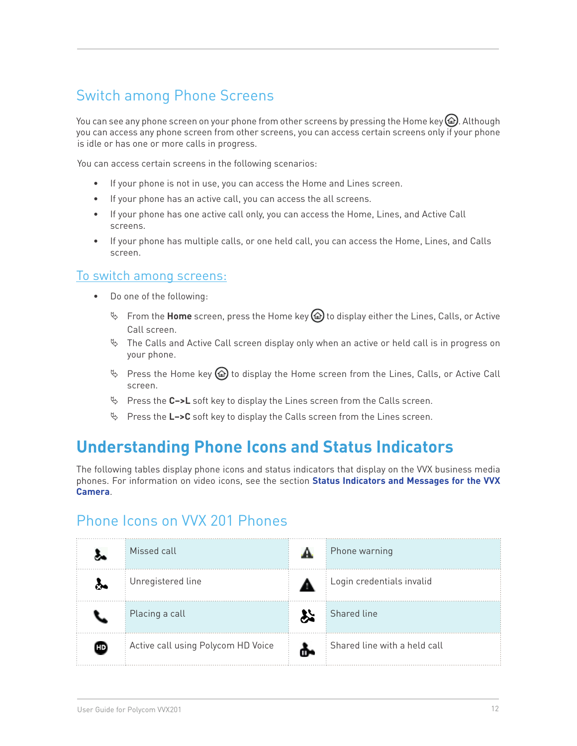# Switch among Phone Screens

You can see any phone screen on your phone from other screens by pressing the Home key  $\omega$ . Although you can access any phone screen from other screens, you can access certain screens only if your phone is idle or has one or more calls in progress.

You can access certain screens in the following scenarios:

- • If your phone is not in use, you can access the Home and Lines screen.
- If your phone has an active call, you can access the all screens.
- • If your phone has one active call only, you can access the Home, Lines, and Active Call screens.
- • If your phone has multiple calls, or one held call, you can access the Home, Lines, and Calls screen.

#### To switch among screens:

- • Do one of the following:
	- ª From the **Home** screen, press the Home key to display either the Lines, Calls, or Active Call screen.
	- $\%$  The Calls and Active Call screen display only when an active or held call is in progress on your phone.
	- $\%$  Press the Home key  $\circled{a}$  to display the Home screen from the Lines, Calls, or Active Call screen.
	- ª Press the **C–>L** soft key to display the Lines screen from the Calls screen.
	- ª Press the **L–>C** soft key to display the Calls screen from the Lines screen.

# **Understanding Phone Icons and Status Indicators**

The following tables display phone icons and status indicators that display on the VVX business media phones. For information on video icons, see the section **Status Indicators and Messages for the VVX Camera**.

#### Phone Icons on VVX 201 Phones

|      | Missed call                        | Phone warning                |
|------|------------------------------------|------------------------------|
|      | Unregistered line                  | Login credentials invalid    |
|      | Placing a call                     | <b>Shared line</b>           |
| (HD) | Active call using Polycom HD Voice | Shared line with a held call |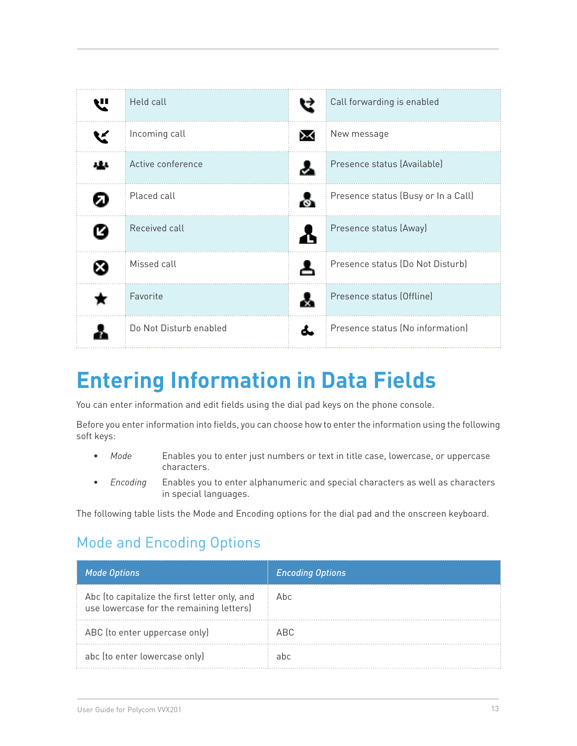| Held call              | Call forwarding is enabled          |
|------------------------|-------------------------------------|
| Incoming call          | New message                         |
| Active conference      | Presence status (Available)         |
| Placed call            | Presence status (Busy or In a Call) |
| Received call          | Presence status (Away)              |
| Missed call            | Presence status (Do Not Disturb)    |
| Favorite               | Presence status (Offline)           |
| Do Not Disturb enabled | Presence status (No information)    |

# **Entering Information in Data Fields**

You can enter information and edit fields using the dial pad keys on the phone console.

Before you enter information into fields, you can choose how to enter the information using the following soft keys:

- Mode **Enables you to enter just numbers or text in title case, lowercase, or uppercase** characters.
- • *Encoding* Enables you to enter alphanumeric and special characters as well as characters in special languages.

The following table lists the Mode and Encoding options for the dial pad and the onscreen keyboard.

## Mode and Encoding Options

| <b>Mode Options</b>                                                                       | <b>Encoding Options</b> |
|-------------------------------------------------------------------------------------------|-------------------------|
| Abc (to capitalize the first letter only, and<br>use lowercase for the remaining letters) | Abc                     |
| ABC (to enter uppercase only)                                                             | ARC.                    |
| abc (to enter lowercase only)                                                             | ahc                     |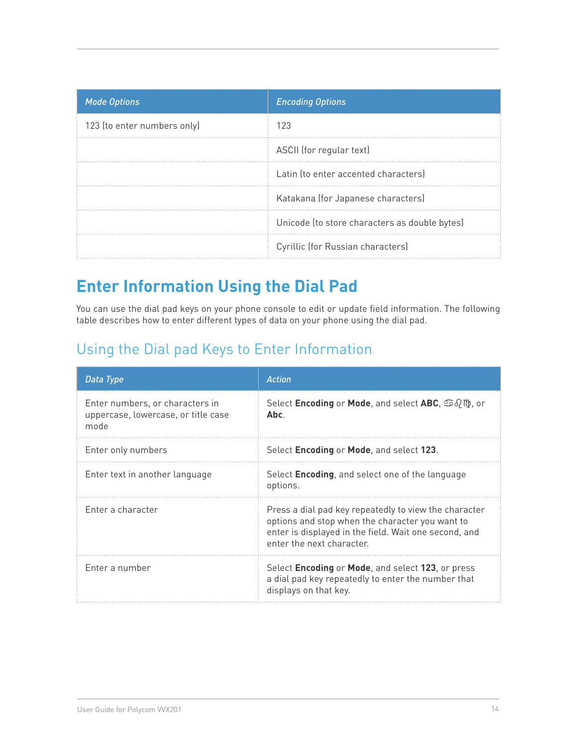| <b>Mode Options</b>         | <b>Encoding Options</b>                       |
|-----------------------------|-----------------------------------------------|
| 123 (to enter numbers only) | 123                                           |
|                             | ASCII (for regular text)                      |
|                             | Latin (to enter accented characters)          |
|                             | Katakana (for Japanese characters)            |
|                             | Unicode (to store characters as double bytes) |
|                             | Cyrillic (for Russian characters)             |

# **Enter Information Using the Dial Pad**

You can use the dial pad keys on your phone console to edit or update field information. The following table describes how to enter different types of data on your phone using the dial pad.

# Using the Dial pad Keys to Enter Information

| Data Type                                                                      | <b>Action</b>                                                                                                                                                                                  |
|--------------------------------------------------------------------------------|------------------------------------------------------------------------------------------------------------------------------------------------------------------------------------------------|
| Enter numbers, or characters in<br>uppercase, lowercase, or title case<br>mode | Select <b>Encoding</b> or <b>Mode</b> , and select <b>ABC</b> , $\Im \partial/\psi$ , or<br>Abc.                                                                                               |
| Enter only numbers                                                             | Select Encoding or Mode, and select 123.                                                                                                                                                       |
| Enter text in another language                                                 | Select <b>Encoding</b> , and select one of the language<br>options.                                                                                                                            |
| Enter a character                                                              | Press a dial pad key repeatedly to view the character<br>options and stop when the character you want to<br>enter is displayed in the field. Wait one second, and<br>enter the next character. |
| Enter a number                                                                 | Select Encoding or Mode, and select 123, or press<br>a dial pad key repeatedly to enter the number that<br>displays on that key.                                                               |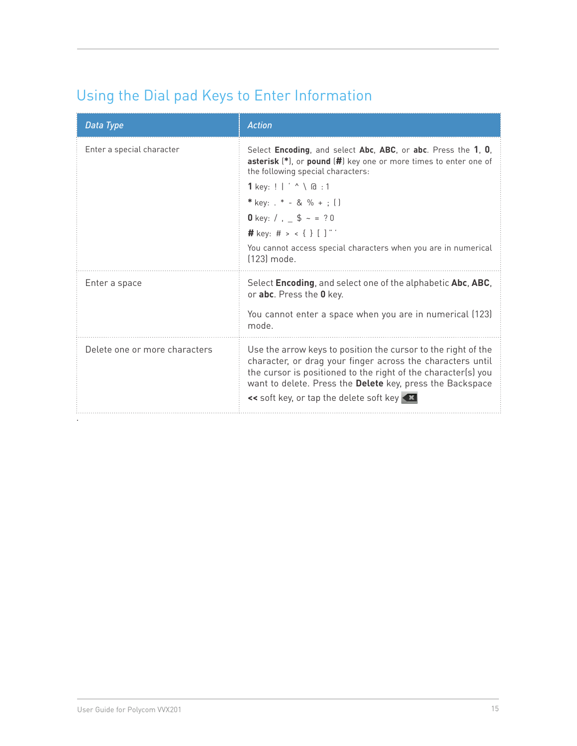# Using the Dial pad Keys to Enter Information

| Data Type                     | <b>Action</b>                                                                                                                                                                                                                                                                                                                                                                  |
|-------------------------------|--------------------------------------------------------------------------------------------------------------------------------------------------------------------------------------------------------------------------------------------------------------------------------------------------------------------------------------------------------------------------------|
| Enter a special character     | Select Encoding, and select Abc, ABC, or abc. Press the 1, 0,<br>asterisk (*), or pound (#) key one or more times to enter one of<br>the following special characters:<br>1 key: $!$   ' $\land$ \ $@$ : 1<br>* key: $k - 8$ % + ; ()<br>0 key: $/ , _ =$ \$ ~ = ?0<br># key: # > < { } [ ] "<br>You cannot access special characters when you are in numerical<br>[123] mode. |
| Enter a space                 | Select Encoding, and select one of the alphabetic Abc, ABC,<br>or abc. Press the 0 key.<br>You cannot enter a space when you are in numerical (123)<br>mode.                                                                                                                                                                                                                   |
| Delete one or more characters | Use the arrow keys to position the cursor to the right of the<br>character, or drag your finger across the characters until<br>the cursor is positioned to the right of the character(s) you<br>want to delete. Press the Delete key, press the Backspace<br><< soft key, or tap the delete soft key                                                                           |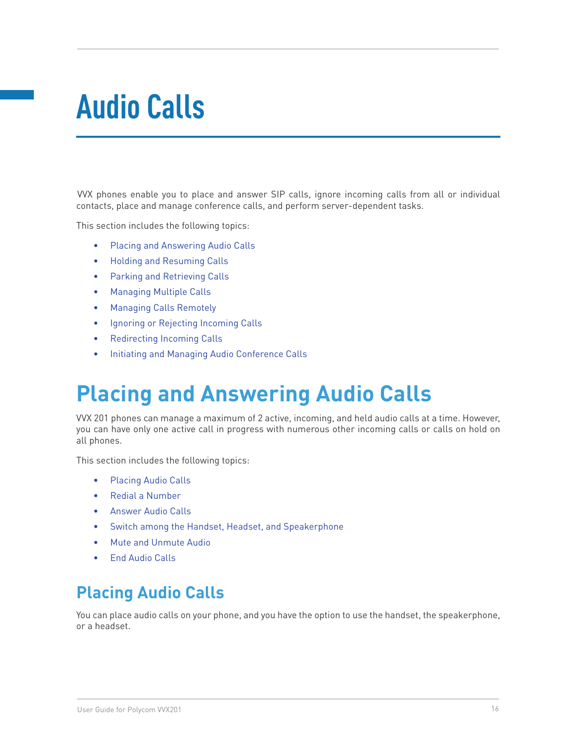# **Audio Calls**

VVX phones enable you to place and answer SIP calls, ignore incoming calls from all or individual contacts, place and manage conference calls, and perform server-dependent tasks.

This section includes the following topics:

- • Placing and Answering Audio Calls
- **Holding and Resuming Calls**
- • Parking and Retrieving Calls
- • Managing Multiple Calls
- • Managing Calls Remotely
- Ignoring or Rejecting Incoming Calls
- • Redirecting Incoming Calls
- • Initiating and Managing Audio Conference Calls

# **Placing and Answering Audio Calls**

VVX 201 phones can manage a maximum of 2 active, incoming, and held audio calls at a time. However, you can have only one active call in progress with numerous other incoming calls or calls on hold on all phones.

This section includes the following topics:

- Placing Audio Calls
- • Redial a Number
- • Answer Audio Calls
- Switch among the Handset, Headset, and Speakerphone
- • Mute and Unmute Audio
- **End Audio Calls**

# **Placing Audio Calls**

You can place audio calls on your phone, and you have the option to use the handset, the speakerphone, or a headset.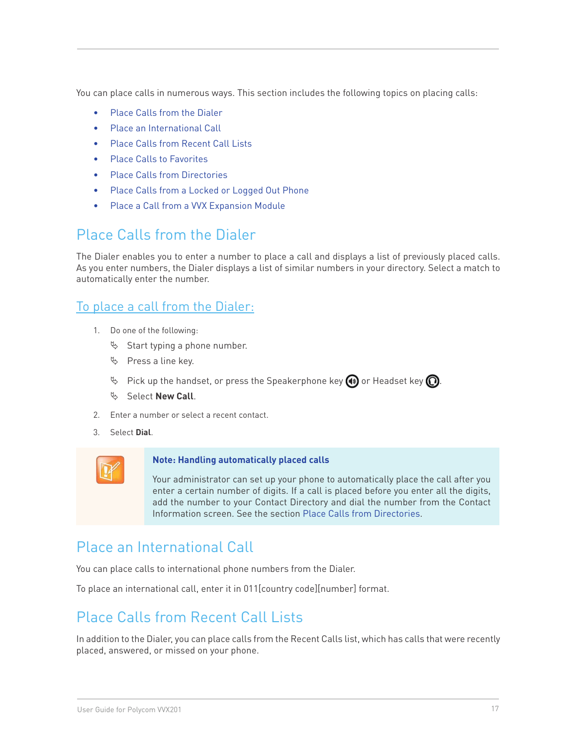You can place calls in numerous ways. This section includes the following topics on placing calls:

- Place Calls from the Dialer
- Place an International Call
- Place Calls from Recent Call Lists
- **Place Calls to Favorites**
- **Place Calls from Directories**
- Place Calls from a Locked or Logged Out Phone
- Place a Call from a VVX Expansion Module

### Place Calls from the Dialer

The Dialer enables you to enter a number to place a call and displays a list of previously placed calls. As you enter numbers, the Dialer displays a list of similar numbers in your directory. Select a match to automatically enter the number.

#### To place a call from the Dialer:

- 1. Do one of the following:
	- $\%$  Start typing a phone number.
	- $\%$  Press a line key.
	- $\mathbb F$  Pick up the handset, or press the Speakerphone key  $\textcircled{\textbf{1}}$  or Headset key  $\textcircled{\textbf{1}}$ .
	- ª Select **New Call**.
- 2. Enter a number or select a recent contact.
- 3. Select **Dial**.



#### **Note: Handling automatically placed calls**

Your administrator can set up your phone to automatically place the call after you enter a certain number of digits. If a call is placed before you enter all the digits, add the number to your Contact Directory and dial the number from the Contact Information screen. See the section Place Calls from Directories.

## Place an International Call

You can place calls to international phone numbers from the Dialer.

To place an international call, enter it in 011[country code][number] format.

## Place Calls from Recent Call Lists

In addition to the Dialer, you can place calls from the Recent Calls list, which has calls that were recently placed, answered, or missed on your phone.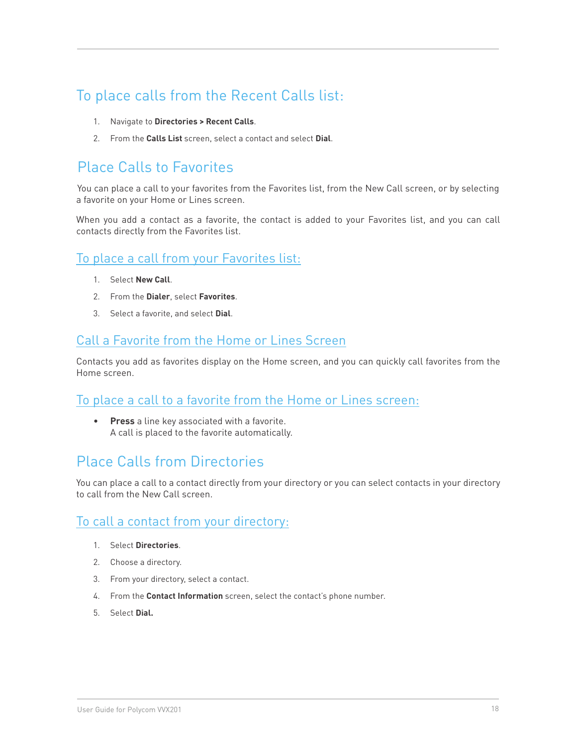# To place calls from the Recent Calls list:

- 1. Navigate to **Directories > Recent Calls**.
- 2. From the **Calls List** screen, select a contact and select **Dial**.

# Place Calls to Favorites

You can place a call to your favorites from the Favorites list, from the New Call screen, or by selecting a favorite on your Home or Lines screen.

When you add a contact as a favorite, the contact is added to your Favorites list, and you can call contacts directly from the Favorites list.

#### To place a call from your Favorites list:

- 1. Select **New Call**.
- 2. From the **Dialer**, select **Favorites**.
- 3. Select a favorite, and select **Dial**.

#### Call a Favorite from the Home or Lines Screen

Contacts you add as favorites display on the Home screen, and you can quickly call favorites from the Home screen.

#### To place a call to a favorite from the Home or Lines screen:

• **Press** a line key associated with a favorite. A call is placed to the favorite automatically.

#### Place Calls from Directories

You can place a call to a contact directly from your directory or you can select contacts in your directory to call from the New Call screen.

#### To call a contact from your directory:

- 1. Select **Directories**.
- 2. Choose a directory.
- 3. From your directory, select a contact.
- 4. From the **Contact Information** screen, select the contact's phone number.
- 5. Select **Dial.**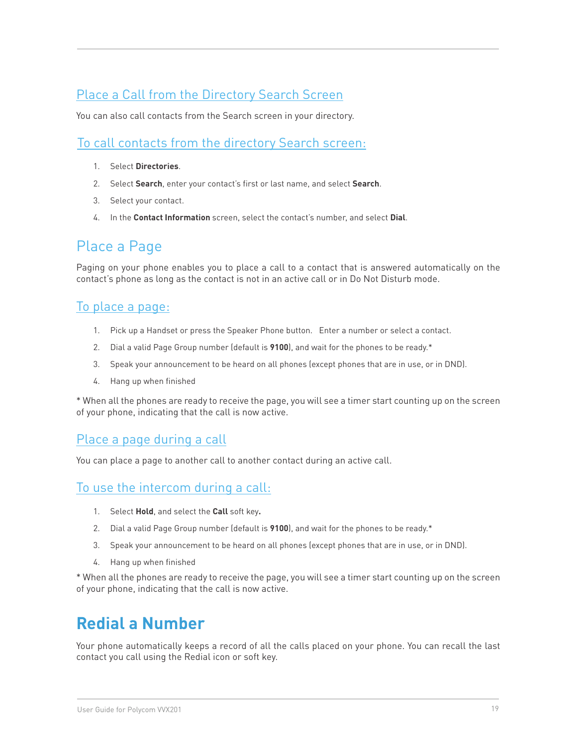#### Place a Call from the Directory Search Screen

You can also call contacts from the Search screen in your directory.

#### To call contacts from the directory Search screen:

- 1. Select **Directories**.
- 2. Select **Search**, enter your contact's first or last name, and select **Search**.
- 3. Select your contact.
- 4. In the **Contact Information** screen, select the contact's number, and select **Dial**.

### Place a Page

Paging on your phone enables you to place a call to a contact that is answered automatically on the contact's phone as long as the contact is not in an active call or in Do Not Disturb mode.

#### To place a page:

- 1. Pick up a Handset or press the Speaker Phone button. Enter a number or select a contact.
- 2. Dial a valid Page Group number (default is **9100**), and wait for the phones to be ready.\*
- 3. Speak your announcement to be heard on all phones (except phones that are in use, or in DND).
- 4. Hang up when finished

\* When all the phones are ready to receive the page, you will see a timer start counting up on the screen of your phone, indicating that the call is now active.

#### Place a page during a call

You can place a page to another call to another contact during an active call.

#### To use the intercom during a call:

- 1. Select **Hold**, and select the **Call** soft key**.**
- 2. Dial a valid Page Group number (default is **9100**), and wait for the phones to be ready.\*
- 3. Speak your announcement to be heard on all phones (except phones that are in use, or in DND).
- 4. Hang up when finished

\* When all the phones are ready to receive the page, you will see a timer start counting up on the screen of your phone, indicating that the call is now active.

# **Redial a Number**

Your phone automatically keeps a record of all the calls placed on your phone. You can recall the last contact you call using the Redial icon or soft key.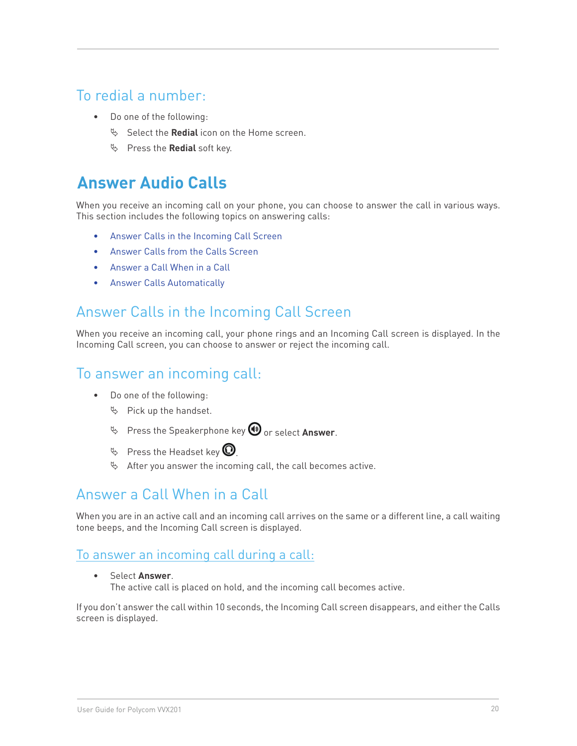## To redial a number:

- Do one of the following:
	- $\%$  Select the **Redial** icon on the Home screen.
	- $\%$  Press the **Redial** soft key.

# **Answer Audio Calls**

When you receive an incoming call on your phone, you can choose to answer the call in various ways. This section includes the following topics on answering calls:

- Answer Calls in the Incoming Call Screen
- Answer Calls from the Calls Screen
- Answer a Call When in a Call
- • Answer Calls Automatically

### Answer Calls in the Incoming Call Screen

When you receive an incoming call, your phone rings and an Incoming Call screen is displayed. In the Incoming Call screen, you can choose to answer or reject the incoming call.

### To answer an incoming call:

- • Do one of the following:
	- $\%$  Pick up the handset.
	- $\psi$  Press the Speakerphone key  $\bigcirc$  or select Answer.
	- $\%$  Press the Headset key  $\bigcirc$
	- $\%$  After you answer the incoming call, the call becomes active.

# Answer a Call When in a Call

When you are in an active call and an incoming call arrives on the same or a different line, a call waiting tone beeps, and the Incoming Call screen is displayed.

#### To answer an incoming call during a call:

• Select **Answer**. The active call is placed on hold, and the incoming call becomes active.

If you don't answer the call within 10 seconds, the Incoming Call screen disappears, and either the Calls screen is displayed.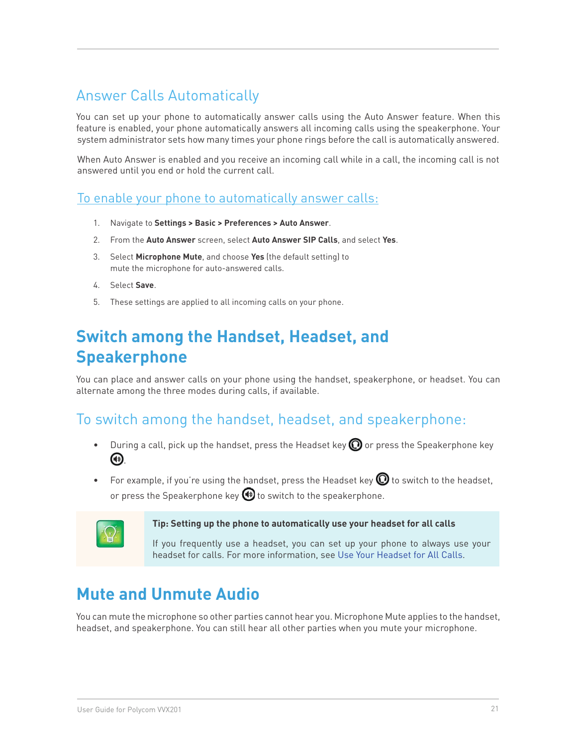# Answer Calls Automatically

You can set up your phone to automatically answer calls using the Auto Answer feature. When this feature is enabled, your phone automatically answers all incoming calls using the speakerphone. Your system administrator sets how many times your phone rings before the call is automatically answered.

When Auto Answer is enabled and you receive an incoming call while in a call, the incoming call is not answered until you end or hold the current call.

#### To enable your phone to automatically answer calls:

- 1. Navigate to **Settings > Basic > Preferences > Auto Answer**.
- 2. From the **Auto Answer** screen, select **Auto Answer SIP Calls**, and select **Yes**.
- 3. Select **Microphone Mute**, and choose **Yes** (the default setting) to mute the microphone for auto-answered calls.
- 4. Select **Save**.
- 5. These settings are applied to all incoming calls on your phone.

# **Switch among the Handset, Headset, and Speakerphone**

You can place and answer calls on your phone using the handset, speakerphone, or headset. You can alternate among the three modes during calls, if available.

#### To switch among the handset, headset, and speakerphone:

- During a call, pick up the handset, press the Headset key  $\mathbf \odot$  or press the Speakerphone key .
- For example, if you're using the handset, press the Headset key  $\bm{\mathbb{Q}}$  to switch to the headset, or press the Speakerphone key  $\bigoplus$  to switch to the speakerphone.



#### **Tip: Setting up the phone to automatically use your headset for all calls**

If you frequently use a headset, you can set up your phone to always use your headset for calls. For more information, see Use Your Headset for All Calls.

# **Mute and Unmute Audio**

You can mute the microphone so other parties cannot hear you. Microphone Mute applies to the handset, headset, and speakerphone. You can still hear all other parties when you mute your microphone.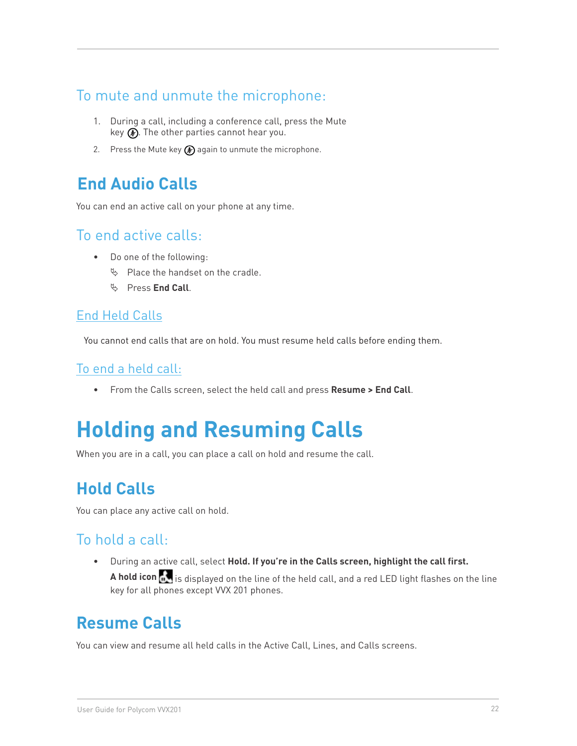## To mute and unmute the microphone:

- 1. During a call, including a conference call, press the Mute key  $\circledbullet$ . The other parties cannot hear you.
- 2. Press the Mute key  $\circledP$  again to unmute the microphone.

# **End Audio Calls**

You can end an active call on your phone at any time.

#### To end active calls:

- • Do one of the following:
	- $\%$  Place the handset on the cradle.
	- ª Press **End Call**.

#### End Held Calls

You cannot end calls that are on hold. You must resume held calls before ending them.

#### To end a held call:

• From the Calls screen, select the held call and press **Resume > End Call**.

# **Holding and Resuming Calls**

When you are in a call, you can place a call on hold and resume the call.

# **Hold Calls**

You can place any active call on hold.

## To hold a call:

• During an active call, select **Hold. If you're in the Calls screen, highlight the call first.** 

**A hold icon** is displayed on the line of the held call, and a red LED light flashes on the line key for all phones except VVX 201 phones.

# **Resume Calls**

You can view and resume all held calls in the Active Call, Lines, and Calls screens.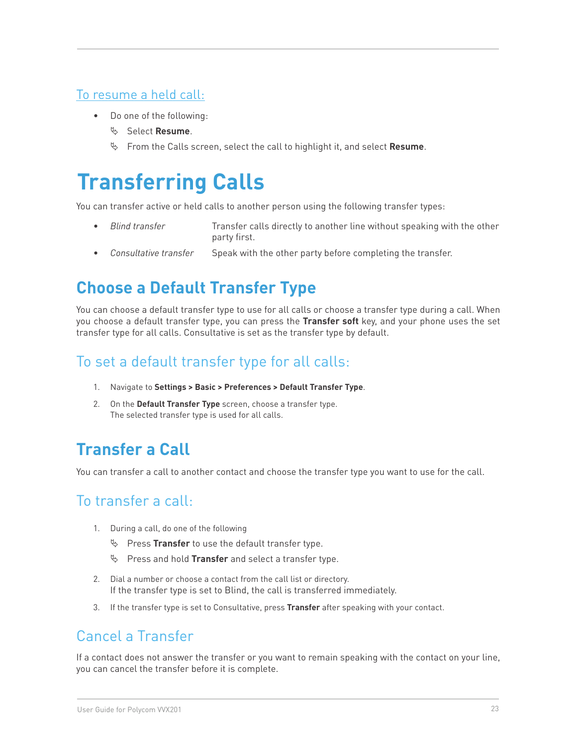#### To resume a held call:

- • Do one of the following:
	- ª Select **Resume**.
	- ª From the Calls screen, select the call to highlight it, and select **Resume**.

# **Transferring Calls**

You can transfer active or held calls to another person using the following transfer types:

- **Blind transfer Transfer calls directly to another line without speaking with the other** party first.
- Consultative transfer Speak with the other party before completing the transfer.

# **Choose a Default Transfer Type**

You can choose a default transfer type to use for all calls or choose a transfer type during a call. When you choose a default transfer type, you can press the **Transfer soft** key, and your phone uses the set transfer type for all calls. Consultative is set as the transfer type by default.

# To set a default transfer type for all calls:

- 1. Navigate to **Settings > Basic > Preferences > Default Transfer Type**.
- 2. On the **Default Transfer Type** screen, choose a transfer type. The selected transfer type is used for all calls.

# **Transfer a Call**

You can transfer a call to another contact and choose the transfer type you want to use for the call.

#### To transfer a call:

- 1. During a call, do one of the following
	- $\%$  Press Transfer to use the default transfer type.
	- $\%$  Press and hold **Transfer** and select a transfer type.
- 2. Dial a number or choose a contact from the call list or directory. If the transfer type is set to Blind, the call is transferred immediately.
- 3. If the transfer type is set to Consultative, press **Transfer** after speaking with your contact.

## Cancel a Transfer

If a contact does not answer the transfer or you want to remain speaking with the contact on your line, you can cancel the transfer before it is complete.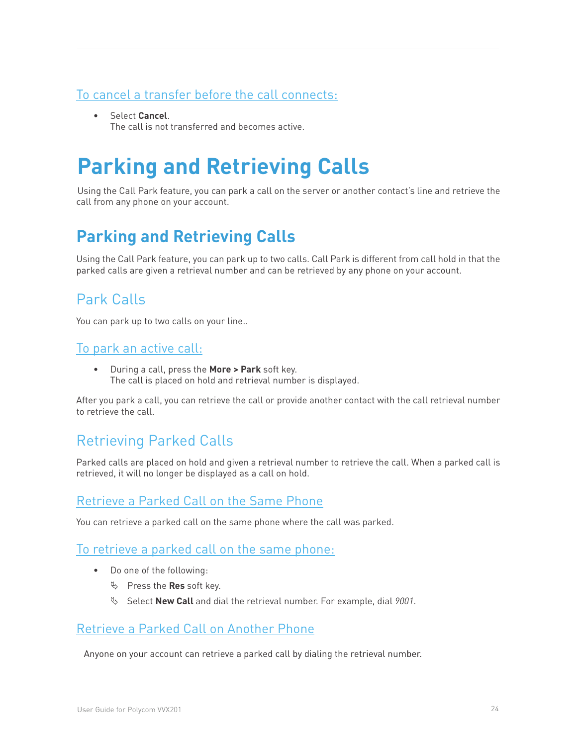#### To cancel a transfer before the call connects:

• Select **Cancel**. The call is not transferred and becomes active.

# **Parking and Retrieving Calls**

Using the Call Park feature, you can park a call on the server or another contact's line and retrieve the call from any phone on your account.

# **Parking and Retrieving Calls**

Using the Call Park feature, you can park up to two calls. Call Park is different from call hold in that the parked calls are given a retrieval number and can be retrieved by any phone on your account.

# Park Calls

You can park up to two calls on your line..

#### To park an active call:

• During a call, press the **More > Park** soft key. The call is placed on hold and retrieval number is displayed.

After you park a call, you can retrieve the call or provide another contact with the call retrieval number to retrieve the call.

## Retrieving Parked Calls

Parked calls are placed on hold and given a retrieval number to retrieve the call. When a parked call is retrieved, it will no longer be displayed as a call on hold.

#### Retrieve a Parked Call on the Same Phone

You can retrieve a parked call on the same phone where the call was parked.

#### To retrieve a parked call on the same phone:

- • Do one of the following:
	- $\%$  Press the **Res** soft key.
	- ª Select **New Call** and dial the retrieval number. For example, dial *9001*.

#### Retrieve a Parked Call on Another Phone

Anyone on your account can retrieve a parked call by dialing the retrieval number.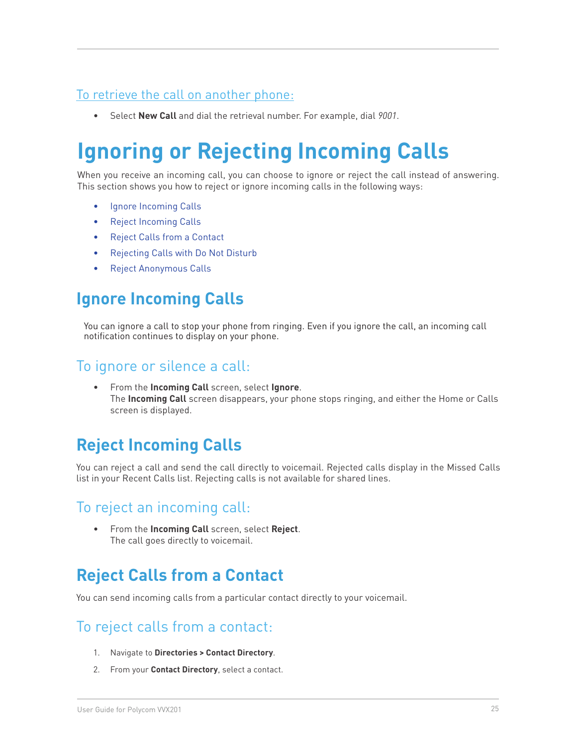#### To retrieve the call on another phone:

• Select **New Call** and dial the retrieval number. For example, dial *9001*.

# **Ignoring or Rejecting Incoming Calls**

When you receive an incoming call, you can choose to ignore or reject the call instead of answering. This section shows you how to reject or ignore incoming calls in the following ways:

- • Ignore Incoming Calls
- • Reject Incoming Calls
- • Reject Calls from a Contact
- • Rejecting Calls with Do Not Disturb
- Reject Anonymous Calls

# **Ignore Incoming Calls**

You can ignore a call to stop your phone from ringing. Even if you ignore the call, an incoming call notification continues to display on your phone.

#### To ignore or silence a call:

• From the **Incoming Call** screen, select **Ignore**. The **Incoming Call** screen disappears, your phone stops ringing, and either the Home or Calls screen is displayed.

# **Reject Incoming Calls**

You can reject a call and send the call directly to voicemail. Rejected calls display in the Missed Calls list in your Recent Calls list. Rejecting calls is not available for shared lines.

#### To reject an incoming call:

From the **Incoming Call** screen, select **Reject**. The call goes directly to voicemail.

# **Reject Calls from a Contact**

You can send incoming calls from a particular contact directly to your voicemail.

## To reject calls from a contact:

- 1. Navigate to **Directories > Contact Directory**.
- 2. From your **Contact Directory**, select a contact.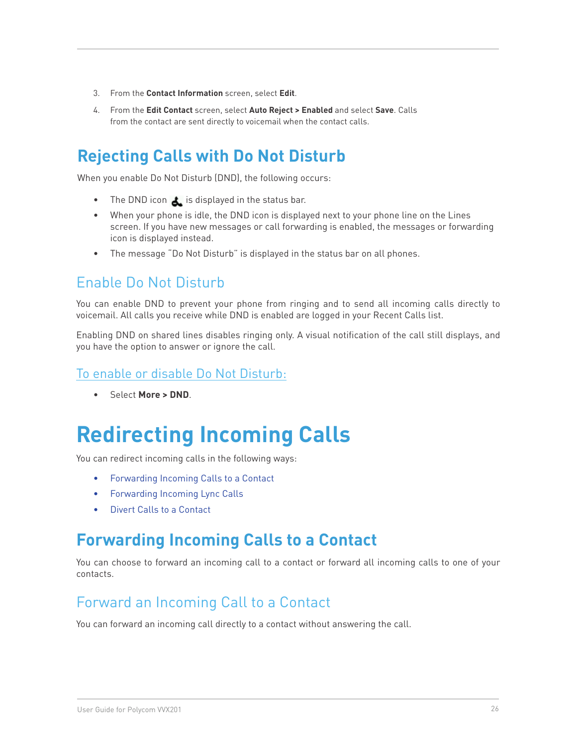- 3. From the **Contact Information** screen, select **Edit**.
- 4. From the **Edit Contact** screen, select **Auto Reject > Enabled** and select **Save**. Calls from the contact are sent directly to voicemail when the contact calls.

# **Rejecting Calls with Do Not Disturb**

When you enable Do Not Disturb (DND), the following occurs:

- The DND icon  $\triangle$  is displayed in the status bar.
- When your phone is idle, the DND icon is displayed next to your phone line on the Lines screen. If you have new messages or call forwarding is enabled, the messages or forwarding icon is displayed instead.
- The message "Do Not Disturb" is displayed in the status bar on all phones.

#### Enable Do Not Disturb

You can enable DND to prevent your phone from ringing and to send all incoming calls directly to voicemail. All calls you receive while DND is enabled are logged in your Recent Calls list.

Enabling DND on shared lines disables ringing only. A visual notification of the call still displays, and you have the option to answer or ignore the call.

#### To enable or disable Do Not Disturb:

• Select **More > DND**.

# **Redirecting Incoming Calls**

You can redirect incoming calls in the following ways:

- Forwarding Incoming Calls to a Contact
- Forwarding Incoming Lync Calls
- • Divert Calls to a Contact

# **Forwarding Incoming Calls to a Contact**

You can choose to forward an incoming call to a contact or forward all incoming calls to one of your contacts.

#### Forward an Incoming Call to a Contact

You can forward an incoming call directly to a contact without answering the call.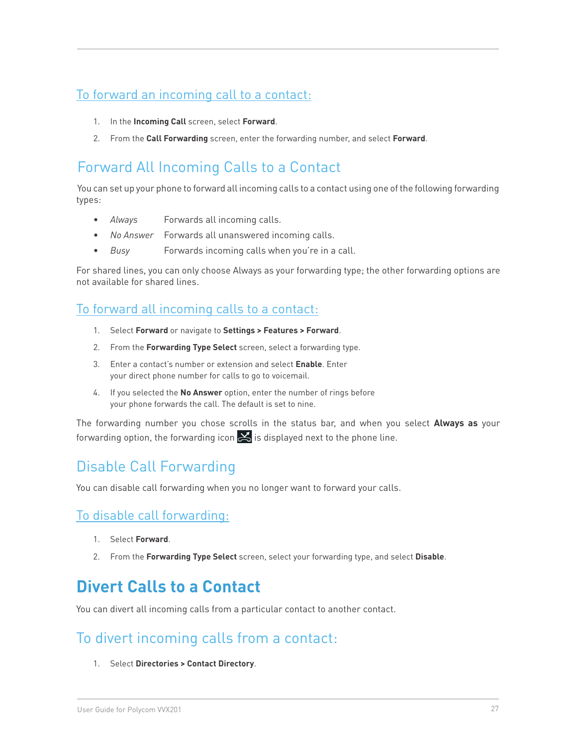#### To forward an incoming call to a contact:

- 1. In the **Incoming Call** screen, select **Forward**.
- 2. From the **Call Forwarding** screen, enter the forwarding number, and select **Forward**.

# Forward All Incoming Calls to a Contact

You can set up your phone to forward all incoming calls to a contact using one of the following forwarding types:

- • *Always* Forwards all incoming calls.
- • *No Answer* Forwards all unanswered incoming calls.
- Busy Forwards incoming calls when you're in a call.

For shared lines, you can only choose Always as your forwarding type; the other forwarding options are not available for shared lines.

#### To forward all incoming calls to a contact:

- 1. Select **Forward** or navigate to **Settings > Features > Forward**.
- 2. From the **Forwarding Type Select** screen, select a forwarding type.
- 3. Enter a contact's number or extension and select **Enable**. Enter your direct phone number for calls to go to voicemail.
- 4. If you selected the **No Answer** option, enter the number of rings before your phone forwards the call. The default is set to nine.

The forwarding number you chose scrolls in the status bar, and when you select **Always as** your forwarding option, the forwarding icon  $\leq$  is displayed next to the phone line.

## Disable Call Forwarding

You can disable call forwarding when you no longer want to forward your calls.

#### To disable call forwarding:

- 1. Select **Forward**.
- 2. From the **Forwarding Type Select** screen, select your forwarding type, and select **Disable**.

# **Divert Calls to a Contact**

You can divert all incoming calls from a particular contact to another contact.

## To divert incoming calls from a contact:

1. Select **Directories > Contact Directory**.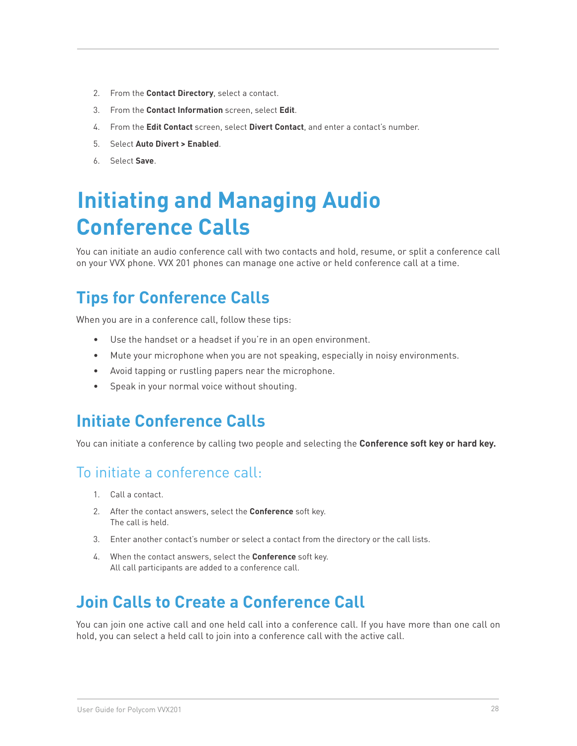- 2. From the **Contact Directory**, select a contact.
- 3. From the **Contact Information** screen, select **Edit**.
- 4. From the **Edit Contact** screen, select **Divert Contact**, and enter a contact's number.
- 5. Select **Auto Divert > Enabled**.
- 6. Select **Save**.

# **Initiating and Managing Audio Conference Calls**

You can initiate an audio conference call with two contacts and hold, resume, or split a conference call on your VVX phone. VVX 201 phones can manage one active or held conference call at a time.

# **Tips for Conference Calls**

When you are in a conference call, follow these tips:

- • Use the handset or a headset if you're in an open environment.
- • Mute your microphone when you are not speaking, especially in noisy environments.
- • Avoid tapping or rustling papers near the microphone.
- • Speak in your normal voice without shouting.

# **Initiate Conference Calls**

You can initiate a conference by calling two people and selecting the **Conference soft key or hard key.**

#### To initiate a conference call:

- 1. Call a contact.
- 2. After the contact answers, select the **Conference** soft key. The call is held.
- 3. Enter another contact's number or select a contact from the directory or the call lists.
- 4. When the contact answers, select the **Conference** soft key. All call participants are added to a conference call.

# **Join Calls to Create a Conference Call**

You can join one active call and one held call into a conference call. If you have more than one call on hold, you can select a held call to join into a conference call with the active call.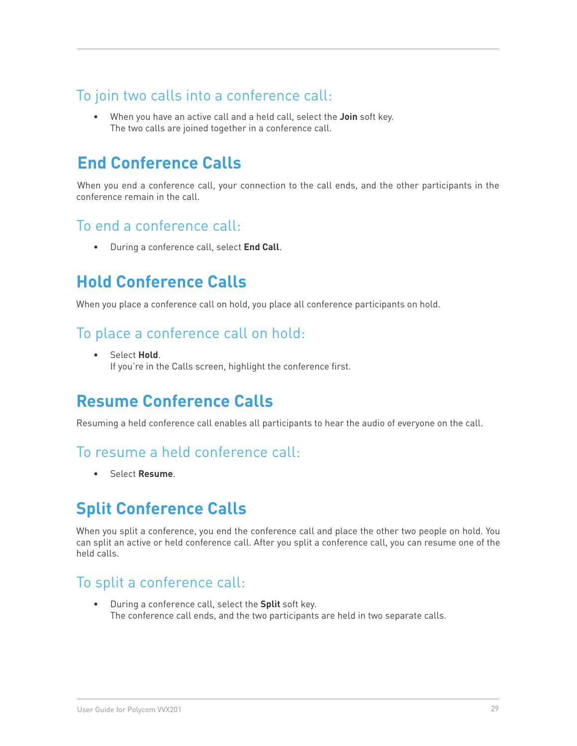## To join two calls into a conference call:

• When you have an active call and a held call, select the **Join** soft key. The two calls are joined together in a conference call.

# **End Conference Calls**

When you end a conference call, your connection to the call ends, and the other participants in the conference remain in the call.

#### To end a conference call:

• During a conference call, select **End Call**.

# **Hold Conference Calls**

When you place a conference call on hold, you place all conference participants on hold.

### To place a conference call on hold:

• Select **Hold**. If you're in the Calls screen, highlight the conference first.

# **Resume Conference Calls**

Resuming a held conference call enables all participants to hear the audio of everyone on the call.

#### To resume a held conference call:

• Select **Resume**.

# **Split Conference Calls**

When you split a conference, you end the conference call and place the other two people on hold. You can split an active or held conference call. After you split a conference call, you can resume one of the held calls.

## To split a conference call:

• During a conference call, select the **Split** soft key. The conference call ends, and the two participants are held in two separate calls.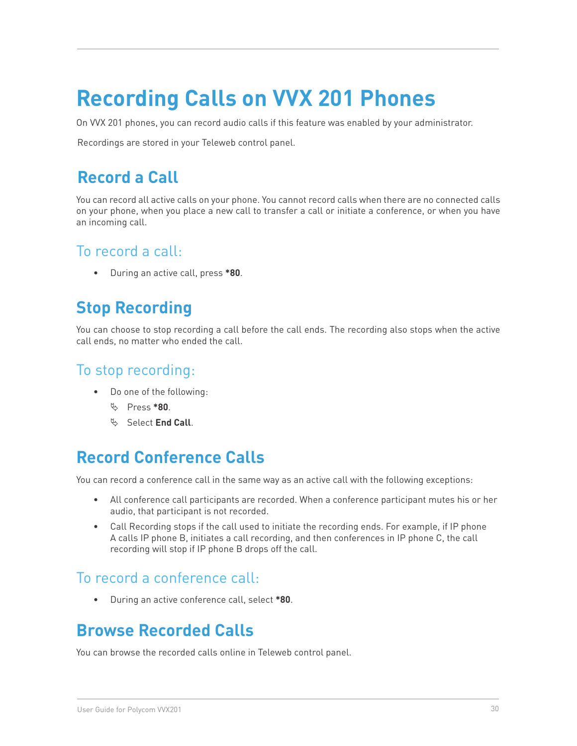# **Recording Calls on VVX 201 Phones**

On VVX 201 phones, you can record audio calls if this feature was enabled by your administrator.

Recordings are stored in your Teleweb control panel.

# **Record a Call**

You can record all active calls on your phone. You cannot record calls when there are no connected calls on your phone, when you place a new call to transfer a call or initiate a conference, or when you have an incoming call.

#### To record a call:

• During an active call, press **\*80**.

# **Stop Recording**

You can choose to stop recording a call before the call ends. The recording also stops when the active call ends, no matter who ended the call.

### To stop recording:

- • Do one of the following:
	- ª Press **\*80**.
	- ª Select **End Call**.

# **Record Conference Calls**

You can record a conference call in the same way as an active call with the following exceptions:

- • All conference call participants are recorded. When a conference participant mutes his or her audio, that participant is not recorded.
- Call Recording stops if the call used to initiate the recording ends. For example, if IP phone A calls IP phone B, initiates a call recording, and then conferences in IP phone C, the call recording will stop if IP phone B drops off the call.

#### To record a conference call:

• During an active conference call, select **\*80**.

# **Browse Recorded Calls**

You can browse the recorded calls online in Teleweb control panel.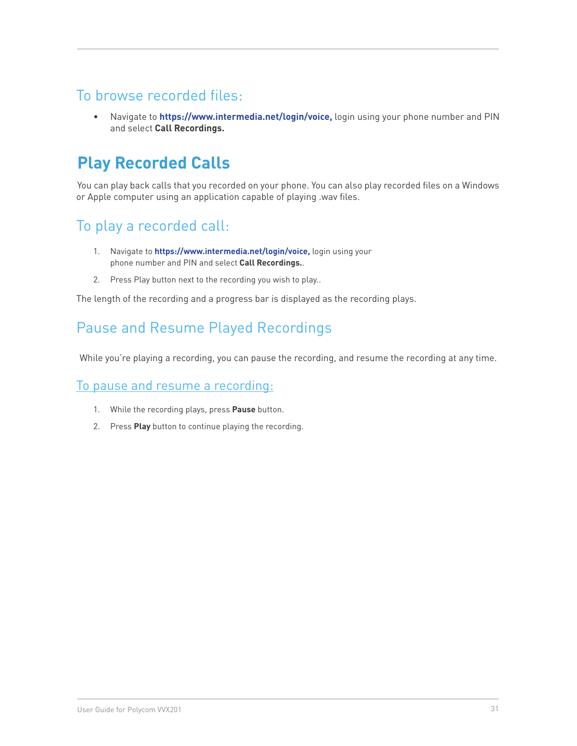### To browse recorded files:

• Navigate to **https://www.intermedia.net/login/voice,** login using your phone number and PIN and select **Call Recordings.**

# **Play Recorded Calls**

You can play back calls that you recorded on your phone. You can also play recorded files on a Windows or Apple computer using an application capable of playing .wav files.

# To play a recorded call:

- 1. Navigate to **https://www.intermedia.net/login/voice,** login using your phone number and PIN and select **Call Recordings.**.
- 2. Press Play button next to the recording you wish to play..

The length of the recording and a progress bar is displayed as the recording plays.

## Pause and Resume Played Recordings

While you're playing a recording, you can pause the recording, and resume the recording at any time.

#### To pause and resume a recording:

- 1. While the recording plays, press **Pause** button.
- 2. Press **Play** button to continue playing the recording.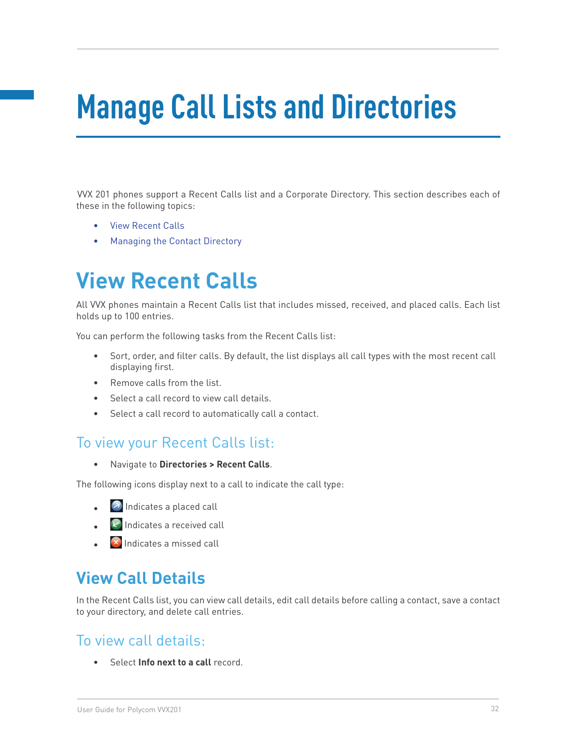# **Manage Call Lists and Directories**

VVX 201 phones support a Recent Calls list and a Corporate Directory. This section describes each of these in the following topics:

- • View Recent Calls
- **Managing the Contact Directory**

# **View Recent Calls**

All VVX phones maintain a Recent Calls list that includes missed, received, and placed calls. Each list holds up to 100 entries.

You can perform the following tasks from the Recent Calls list:

- Sort, order, and filter calls. By default, the list displays all call types with the most recent call displaying first.
- Remove calls from the list.
- Select a call record to view call details.
- • Select a call record to automatically call a contact.

#### To view your Recent Calls list:

• Navigate to **Directories > Recent Calls**.

The following icons display next to a call to indicate the call type:

- $\Box$  Indicates a placed call
- $\epsilon$  Indicates a received call
- $\bullet$   $\blacksquare$  Indicates a missed call

# **View Call Details**

In the Recent Calls list, you can view call details, edit call details before calling a contact, save a contact to your directory, and delete call entries.

#### To view call details:

• Select **Info next to a call** record.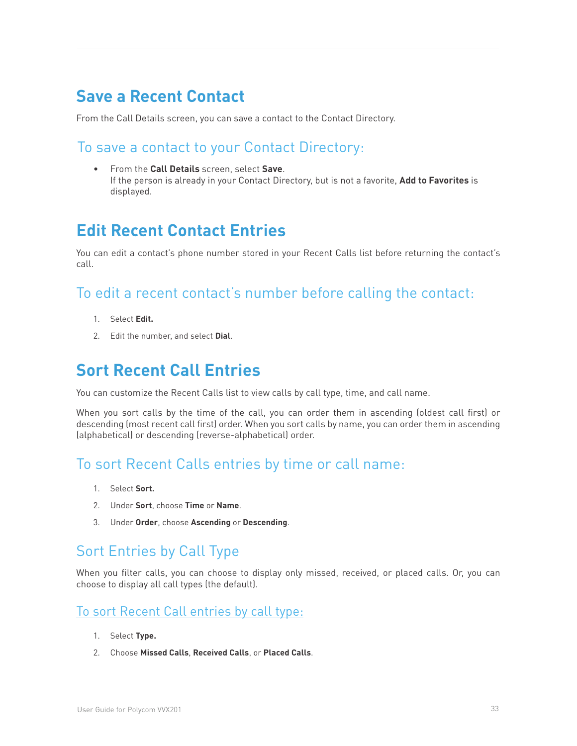# **Save a Recent Contact**

From the Call Details screen, you can save a contact to the Contact Directory.

#### To save a contact to your Contact Directory:

From the **Call Details** screen, select **Save**. If the person is already in your Contact Directory, but is not a favorite, **Add to Favorites** is displayed.

# **Edit Recent Contact Entries**

You can edit a contact's phone number stored in your Recent Calls list before returning the contact's call.

#### To edit a recent contact's number before calling the contact:

- 1. Select **Edit.**
- 2. Edit the number, and select **Dial**.

# **Sort Recent Call Entries**

You can customize the Recent Calls list to view calls by call type, time, and call name.

When you sort calls by the time of the call, you can order them in ascending (oldest call first) or descending (most recent call first) order. When you sort calls by name, you can order them in ascending (alphabetical) or descending (reverse-alphabetical) order.

## To sort Recent Calls entries by time or call name:

- 1. Select **Sort.**
- 2. Under **Sort**, choose **Time** or **Name**.
- 3. Under **Order**, choose **Ascending** or **Descending**.

## Sort Entries by Call Type

When you filter calls, you can choose to display only missed, received, or placed calls. Or, you can choose to display all call types (the default).

#### To sort Recent Call entries by call type:

- 1. Select **Type.**
- 2. Choose **Missed Calls**, **Received Calls**, or **Placed Calls**.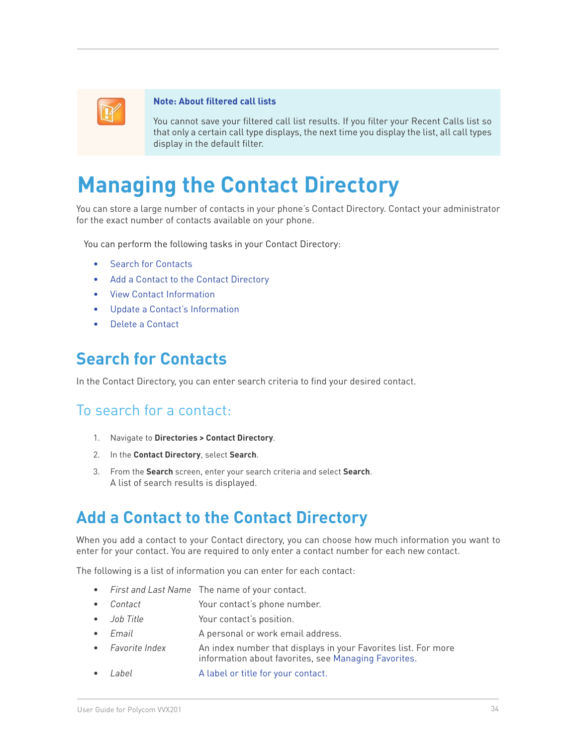

#### **Note: About filtered call lists**

You cannot save your filtered call list results. If you filter your Recent Calls list so that only a certain call type displays, the next time you display the list, all call types display in the default filter.

# **Managing the Contact Directory**

You can store a large number of contacts in your phone's Contact Directory. Contact your administrator for the exact number of contacts available on your phone.

You can perform the following tasks in your Contact Directory:

- **Search for Contacts**
- Add a Contact to the Contact Directory
- **View Contact Information**
- Update a Contact's Information
- Delete a Contact

# **Search for Contacts**

In the Contact Directory, you can enter search criteria to find your desired contact.

#### To search for a contact:

- 1. Navigate to **Directories > Contact Directory**.
- 2. In the **Contact Directory**, select **Search**.
- 3. From the **Search** screen, enter your search criteria and select **Search**. A list of search results is displayed.

# **Add a Contact to the Contact Directory**

When you add a contact to your Contact directory, you can choose how much information you want to enter for your contact. You are required to only enter a contact number for each new contact.

The following is a list of information you can enter for each contact:

- First and Last Name The name of your contact.
- **Contact Contact** Your contact's phone number.
- *Job Title* Your contact's position.
- **Email A personal or work email address.**
- Favorite Index **An index number that displays in your Favorites list. For more** information about favorites, see Managing Favorites.
- Label **A** label or title for your contact.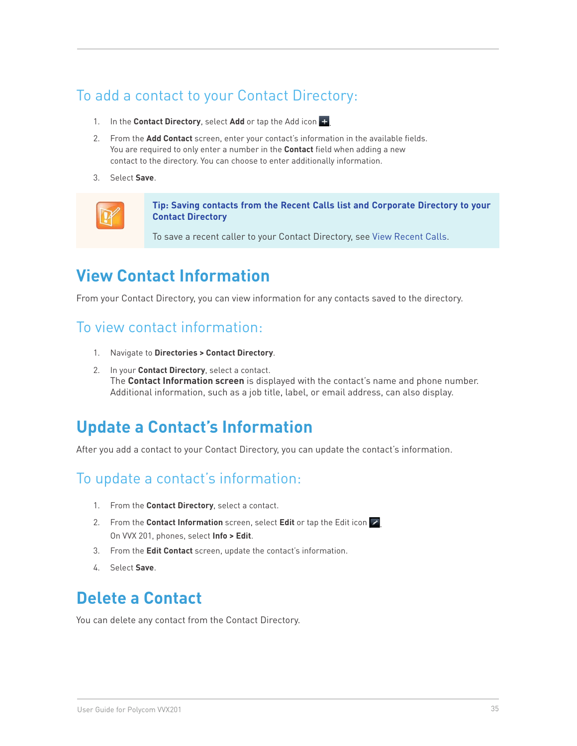# To add a contact to your Contact Directory:

- 1. In the **Contact Directory**, select **Add** or tap the Add icon .
- 2. From the **Add Contact** screen, enter your contact's information in the available fields. You are required to only enter a number in the **Contact** field when adding a new contact to the directory. You can choose to enter additionally information.
- 3. Select **Save**.



**Tip: Saving contacts from the Recent Calls list and Corporate Directory to your Contact Directory**

To save a recent caller to your Contact Directory, see View Recent Calls.

# **View Contact Information**

From your Contact Directory, you can view information for any contacts saved to the directory.

#### To view contact information:

- 1. Navigate to **Directories > Contact Directory**.
- 2. In your **Contact Directory**, select a contact. The **Contact Information screen** is displayed with the contact's name and phone number. Additional information, such as a job title, label, or email address, can also display.

# **Update a Contact's Information**

After you add a contact to your Contact Directory, you can update the contact's information.

## To update a contact's information:

- 1. From the **Contact Directory**, select a contact.
- 2. From the **Contact Information** screen, select **Edit** or tap the Edit icon  $\mathbb{Z}$ On VVX 201, phones, select **Info > Edit**.
- 3. From the **Edit Contact** screen, update the contact's information.
- 4. Select **Save**.

# **Delete a Contact**

You can delete any contact from the Contact Directory.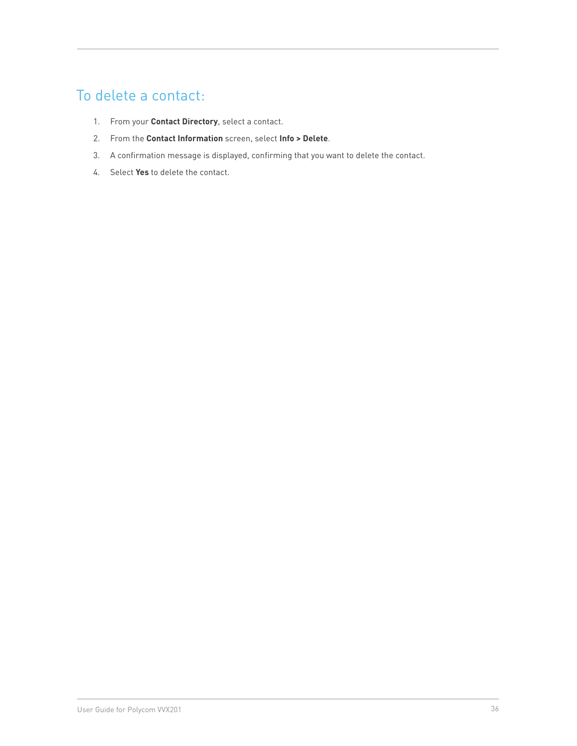# To delete a contact:

- 1. From your **Contact Directory**, select a contact.
- 2. From the **Contact Information** screen, select **Info > Delete**.
- 3. A confirmation message is displayed, confirming that you want to delete the contact.
- 4. Select **Yes** to delete the contact.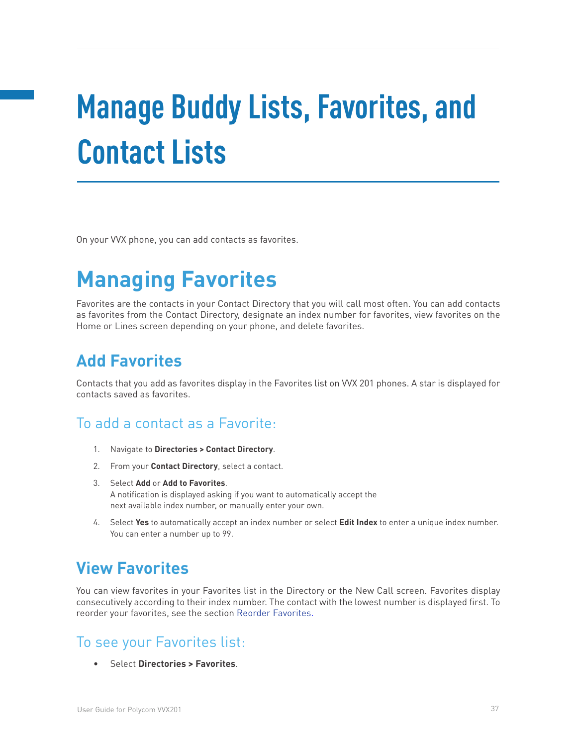# **Manage Buddy Lists, Favorites, and Contact Lists**

On your VVX phone, you can add contacts as favorites.

# **Managing Favorites**

Favorites are the contacts in your Contact Directory that you will call most often. You can add contacts as favorites from the Contact Directory, designate an index number for favorites, view favorites on the Home or Lines screen depending on your phone, and delete favorites.

# **Add Favorites**

Contacts that you add as favorites display in the Favorites list on VVX 201 phones. A star is displayed for contacts saved as favorites.

#### To add a contact as a Favorite:

- 1. Navigate to **Directories > Contact Directory**.
- 2. From your **Contact Directory**, select a contact.
- 3. Select **Add** or **Add to Favorites**. A notification is displayed asking if you want to automatically accept the next available index number, or manually enter your own.
- 4. Select **Yes** to automatically accept an index number or select **Edit Index** to enter a unique index number. You can enter a number up to 99.

# **View Favorites**

You can view favorites in your Favorites list in the Directory or the New Call screen. Favorites display consecutively according to their index number. The contact with the lowest number is displayed first. To reorder your favorites, see the section Reorder Favorites.

## To see your Favorites list:

• Select **Directories > Favorites**.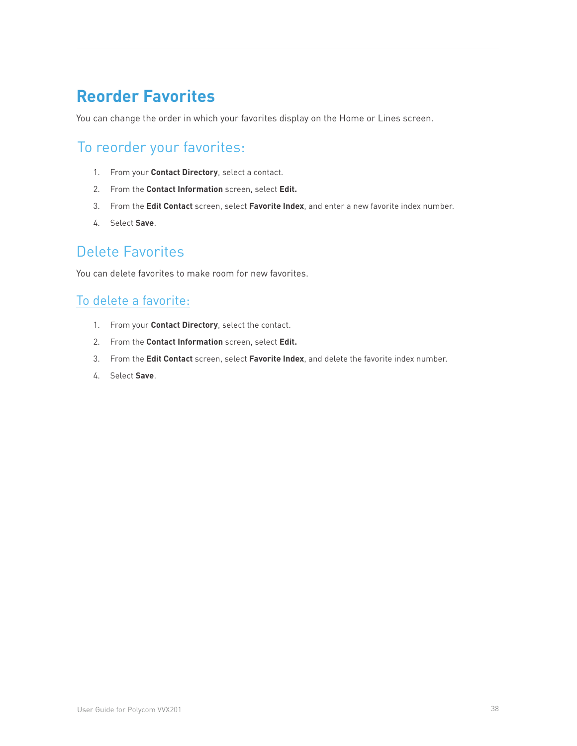# **Reorder Favorites**

You can change the order in which your favorites display on the Home or Lines screen.

# To reorder your favorites:

- 1. From your **Contact Directory**, select a contact.
- 2. From the **Contact Information** screen, select **Edit.**
- 3. From the **Edit Contact** screen, select **Favorite Index**, and enter a new favorite index number.
- 4. Select **Save**.

## Delete Favorites

You can delete favorites to make room for new favorites.

#### To delete a favorite:

- 1. From your **Contact Directory**, select the contact.
- 2. From the **Contact Information** screen, select **Edit.**
- 3. From the **Edit Contact** screen, select **Favorite Index**, and delete the favorite index number.
- 4. Select **Save**.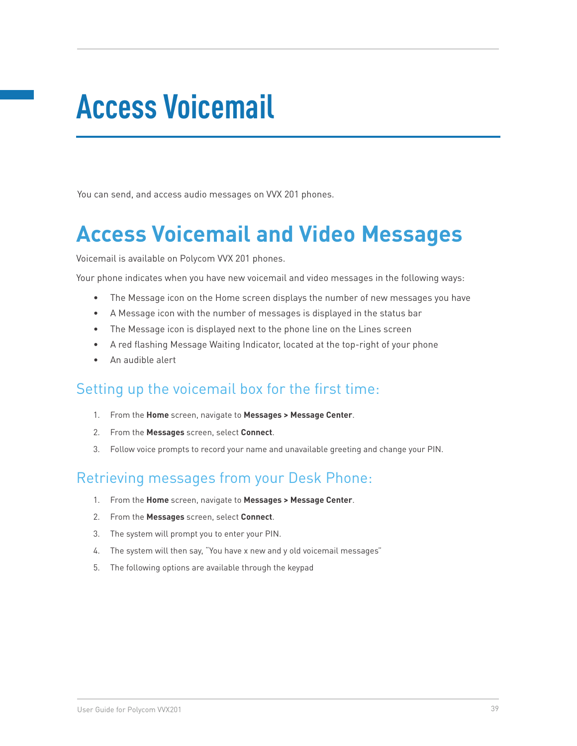# **Access Voicemail**

You can send, and access audio messages on VVX 201 phones.

# **Access Voicemail and Video Messages**

Voicemail is available on Polycom VVX 201 phones.

Your phone indicates when you have new voicemail and video messages in the following ways:

- The Message icon on the Home screen displays the number of new messages you have
- • A Message icon with the number of messages is displayed in the status bar
- The Message icon is displayed next to the phone line on the Lines screen
- • A red flashing Message Waiting Indicator, located at the top-right of your phone
- An audible alert

#### Setting up the voicemail box for the first time:

- 1. From the **Home** screen, navigate to **Messages > Message Center**.
- 2. From the **Messages** screen, select **Connect**.
- 3. Follow voice prompts to record your name and unavailable greeting and change your PIN.

## Retrieving messages from your Desk Phone:

- 1. From the **Home** screen, navigate to **Messages > Message Center**.
- 2. From the **Messages** screen, select **Connect**.
- 3. The system will prompt you to enter your PIN.
- 4. The system will then say, "You have x new and y old voicemail messages"
- 5. The following options are available through the keypad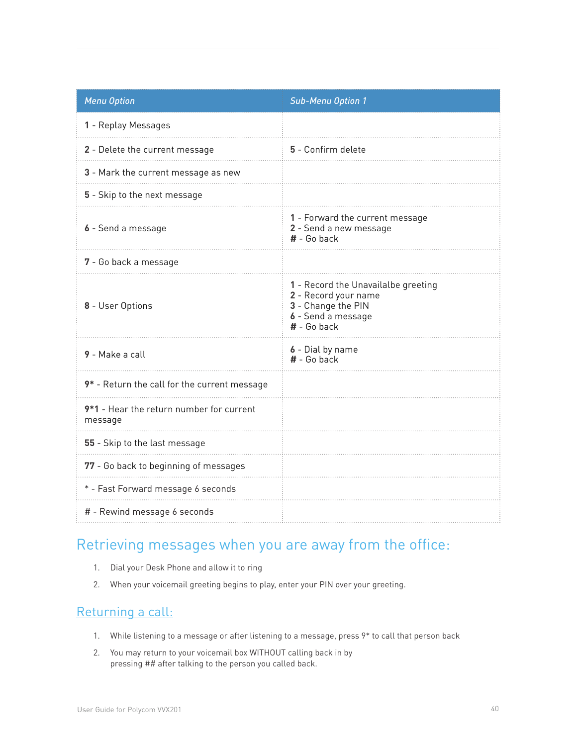| <b>Menu Option</b>                                  | <b>Sub-Menu Option 1</b>                                                                                                 |
|-----------------------------------------------------|--------------------------------------------------------------------------------------------------------------------------|
| 1 - Replay Messages                                 |                                                                                                                          |
| 2 - Delete the current message                      | 5 - Confirm delete                                                                                                       |
| 3 - Mark the current message as new                 |                                                                                                                          |
| 5 - Skip to the next message                        |                                                                                                                          |
| 6 - Send a message                                  | 1 - Forward the current message<br>2 - Send a new message<br>$#$ - Go back                                               |
| 7 - Go back a message                               |                                                                                                                          |
| 8 - User Options                                    | 1 - Record the Unavailalbe greeting<br>2 - Record your name<br>3 - Change the PIN<br>6 - Send a message<br>$#$ - Go back |
| 9 - Make a call                                     | 6 - Dial by name<br>$#$ - Go back                                                                                        |
| 9* - Return the call for the current message        |                                                                                                                          |
| 9*1 - Hear the return number for current<br>message |                                                                                                                          |
| 55 - Skip to the last message                       |                                                                                                                          |
| 77 - Go back to beginning of messages               |                                                                                                                          |
| * - Fast Forward message 6 seconds                  |                                                                                                                          |
| # - Rewind message 6 seconds                        |                                                                                                                          |

## Retrieving messages when you are away from the office:

- 1. Dial your Desk Phone and allow it to ring
- 2. When your voicemail greeting begins to play, enter your PIN over your greeting.

#### Returning a call:

- 1. While listening to a message or after listening to a message, press 9\* to call that person back
- 2. You may return to your voicemail box WITHOUT calling back in by pressing ## after talking to the person you called back.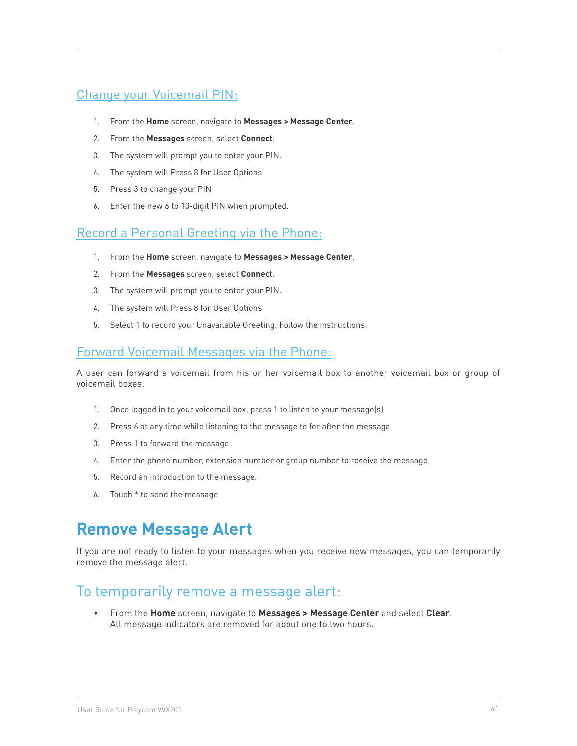#### Change your Voicemail PIN:

- 1. From the **Home** screen, navigate to **Messages > Message Center**.
- 2. From the **Messages** screen, select **Connect**.
- 3. The system will prompt you to enter your PIN.
- 4. The system will Press 8 for User Options
- 5. Press 3 to change your PIN
- 6. Enter the new 6 to 10-digit PIN when prompted.

#### Record a Personal Greeting via the Phone:

- 1. From the **Home** screen, navigate to **Messages > Message Center**.
- 2. From the **Messages** screen, select **Connect**.
- 3. The system will prompt you to enter your PIN.
- 4. The system will Press 8 for User Options
- 5. Select 1 to record your Unavailable Greeting. Follow the instructions.

#### Forward Voicemail Messages via the Phone:

A user can forward a voicemail from his or her voicemail box to another voicemail box or group of voicemail boxes.

- 1. Once logged in to your voicemail box, press 1 to listen to your message(s)
- 2. Press 6 at any time while listening to the message to for after the message
- 3. Press 1 to forward the message
- 4. Enter the phone number, extension number or group number to receive the message
- 5. Record an introduction to the message.
- 6. Touch \* to send the message

# **Remove Message Alert**

If you are not ready to listen to your messages when you receive new messages, you can temporarily remove the message alert.

#### To temporarily remove a message alert:

• From the **Home** screen, navigate to **Messages > Message Center** and select **Clear**. All message indicators are removed for about one to two hours.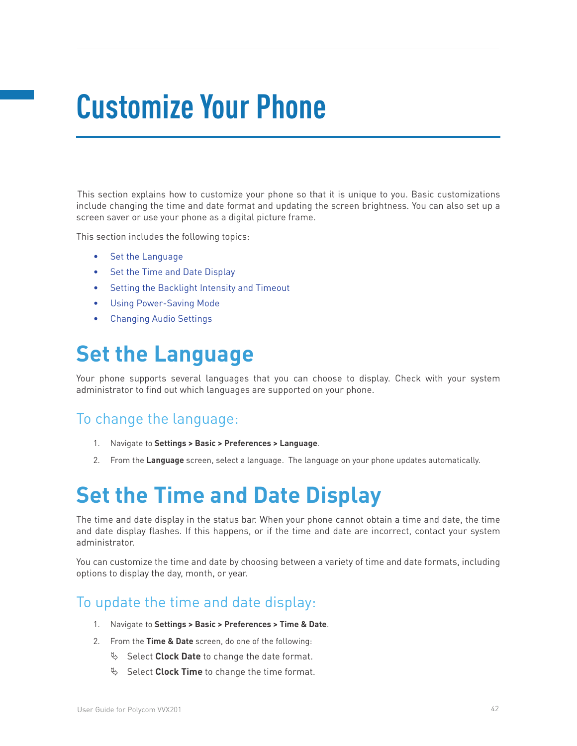# **Customize Your Phone**

This section explains how to customize your phone so that it is unique to you. Basic customizations include changing the time and date format and updating the screen brightness. You can also set up a screen saver or use your phone as a digital picture frame.

This section includes the following topics:

- • Set the Language
- Set the Time and Date Display
- Setting the Backlight Intensity and Timeout
- • Using Power-Saving Mode
- **Changing Audio Settings**

# **Set the Language**

Your phone supports several languages that you can choose to display. Check with your system administrator to find out which languages are supported on your phone.

#### To change the language:

- 1. Navigate to **Settings > Basic > Preferences > Language**.
- 2. From the **Language** screen, select a language. The language on your phone updates automatically.

# **Set the Time and Date Display**

The time and date display in the status bar. When your phone cannot obtain a time and date, the time and date display flashes. If this happens, or if the time and date are incorrect, contact your system administrator.

You can customize the time and date by choosing between a variety of time and date formats, including options to display the day, month, or year.

## To update the time and date display:

- 1. Navigate to **Settings > Basic > Preferences > Time & Date**.
- 2. From the **Time & Date** screen, do one of the following:
	- § Select **Clock Date** to change the date format.
	- $\%$  Select **Clock Time** to change the time format.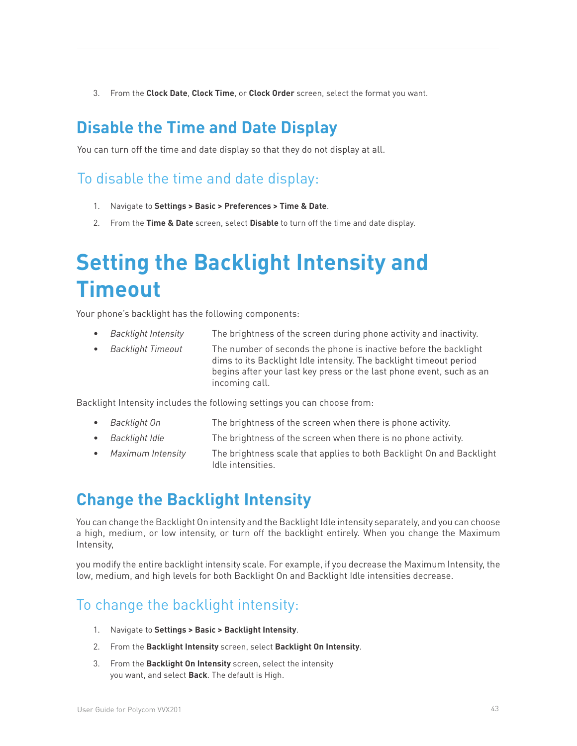3. From the **Clock Date**, **Clock Time**, or **Clock Order** screen, select the format you want.

# **Disable the Time and Date Display**

You can turn off the time and date display so that they do not display at all.

## To disable the time and date display:

- 1. Navigate to **Settings > Basic > Preferences > Time & Date**.
- 2. From the **Time & Date** screen, select **Disable** to turn off the time and date display.

# **Setting the Backlight Intensity and Timeout**

Your phone's backlight has the following components:

- **Backlight Intensity** The brightness of the screen during phone activity and inactivity.
- **Backlight Timeout** The number of seconds the phone is inactive before the backlight dims to its Backlight Idle intensity. The backlight timeout period begins after your last key press or the last phone event, such as an incoming call.

Backlight Intensity includes the following settings you can choose from:

- **Backlight On The brightness of the screen when there is phone activity.**
- • *Backlight Idle* The brightness of the screen when there is no phone activity.
- • *Maximum Intensity* The brightness scale that applies to both Backlight On and Backlight Idle intensities.

# **Change the Backlight Intensity**

You can change the Backlight On intensity and the Backlight Idle intensity separately, and you can choose a high, medium, or low intensity, or turn off the backlight entirely. When you change the Maximum Intensity,

you modify the entire backlight intensity scale. For example, if you decrease the Maximum Intensity, the low, medium, and high levels for both Backlight On and Backlight Idle intensities decrease.

# To change the backlight intensity:

- 1. Navigate to **Settings > Basic > Backlight Intensity**.
- 2. From the **Backlight Intensity** screen, select **Backlight On Intensity**.
- 3. From the **Backlight On Intensity** screen, select the intensity you want, and select **Back**. The default is High.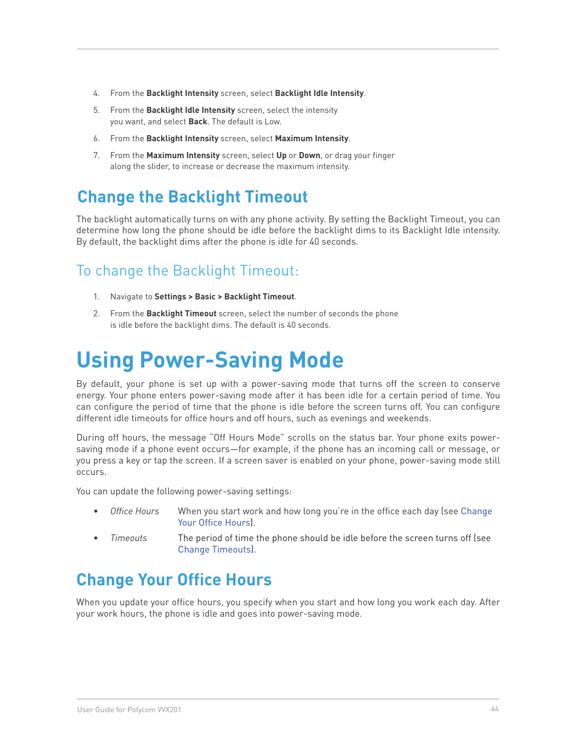- 4. From the **Backlight Intensity** screen, select **Backlight Idle Intensity**.
- 5. From the **Backlight Idle Intensity** screen, select the intensity you want, and select **Back**. The default is Low.
- 6. From the **Backlight Intensity** screen, select **Maximum Intensity**.
- 7. From the **Maximum Intensity** screen, select **Up** or **Down**, or drag your finger along the slider, to increase or decrease the maximum intensity.

# **Change the Backlight Timeout**

The backlight automatically turns on with any phone activity. By setting the Backlight Timeout, you can determine how long the phone should be idle before the backlight dims to its Backlight Idle intensity. By default, the backlight dims after the phone is idle for 40 seconds.

# To change the Backlight Timeout:

- 1. Navigate to **Settings > Basic > Backlight Timeout**.
- 2. From the **Backlight Timeout** screen, select the number of seconds the phone is idle before the backlight dims. The default is 40 seconds.

# **Using Power-Saving Mode**

By default, your phone is set up with a power-saving mode that turns off the screen to conserve energy. Your phone enters power-saving mode after it has been idle for a certain period of time. You can configure the period of time that the phone is idle before the screen turns off. You can configure different idle timeouts for office hours and off hours, such as evenings and weekends.

During off hours, the message "Off Hours Mode" scrolls on the status bar. Your phone exits powersaving mode if a phone event occurs—for example, if the phone has an incoming call or message, or you press a key or tap the screen. If a screen saver is enabled on your phone, power-saving mode still occurs.

You can update the following power-saving settings:

- Office Hours When you start work and how long you're in the office each day (see Change Your Office Hours).
- Timeouts The period of time the phone should be idle before the screen turns off (see Change Timeouts).

# **Change Your Office Hours**

When you update your office hours, you specify when you start and how long you work each day. After your work hours, the phone is idle and goes into power-saving mode.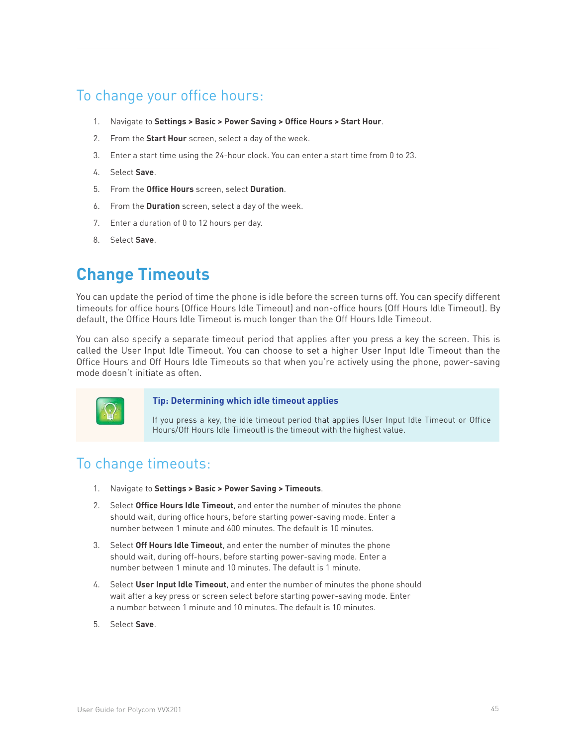## To change your office hours:

- 1. Navigate to **Settings > Basic > Power Saving > Office Hours > Start Hour**.
- 2. From the **Start Hour** screen, select a day of the week.
- 3. Enter a start time using the 24-hour clock. You can enter a start time from 0 to 23.
- 4. Select **Save**.
- 5. From the **Office Hours** screen, select **Duration**.
- 6. From the **Duration** screen, select a day of the week.
- 7. Enter a duration of 0 to 12 hours per day.
- 8. Select **Save**.

# **Change Timeouts**

You can update the period of time the phone is idle before the screen turns off. You can specify different timeouts for office hours (Office Hours Idle Timeout) and non-office hours (Off Hours Idle Timeout). By default, the Office Hours Idle Timeout is much longer than the Off Hours Idle Timeout.

You can also specify a separate timeout period that applies after you press a key the screen. This is called the User Input Idle Timeout. You can choose to set a higher User Input Idle Timeout than the Office Hours and Off Hours Idle Timeouts so that when you're actively using the phone, power-saving mode doesn't initiate as often.



#### **Tip: Determining which idle timeout applies**

If you press a key, the idle timeout period that applies (User Input Idle Timeout or Office Hours/Off Hours Idle Timeout) is the timeout with the highest value.

## To change timeouts:

- 1. Navigate to **Settings > Basic > Power Saving > Timeouts**.
- 2. Select **Office Hours Idle Timeout**, and enter the number of minutes the phone should wait, during office hours, before starting power-saving mode. Enter a number between 1 minute and 600 minutes. The default is 10 minutes.
- 3. Select **Off Hours Idle Timeout**, and enter the number of minutes the phone should wait, during off-hours, before starting power-saving mode. Enter a number between 1 minute and 10 minutes. The default is 1 minute.
- 4. Select **User Input Idle Timeout**, and enter the number of minutes the phone should wait after a key press or screen select before starting power-saving mode. Enter a number between 1 minute and 10 minutes. The default is 10 minutes.
- 5. Select **Save**.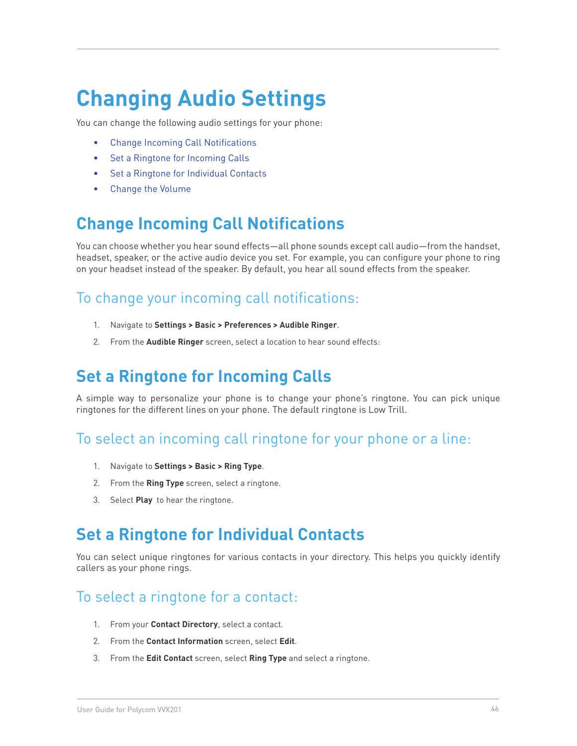# **Changing Audio Settings**

You can change the following audio settings for your phone:

- **Change Incoming Call Notifications**
- Set a Ringtone for Incoming Calls
- • Set a Ringtone for Individual Contacts
- Change the Volume

# **Change Incoming Call Notifications**

You can choose whether you hear sound effects—all phone sounds except call audio—from the handset, headset, speaker, or the active audio device you set. For example, you can configure your phone to ring on your headset instead of the speaker. By default, you hear all sound effects from the speaker.

## To change your incoming call notifications:

- 1. Navigate to **Settings > Basic > Preferences > Audible Ringer**.
- 2. From the **Audible Ringer** screen, select a location to hear sound effects:

# **Set a Ringtone for Incoming Calls**

A simple way to personalize your phone is to change your phone's ringtone. You can pick unique ringtones for the different lines on your phone. The default ringtone is Low Trill.

#### To select an incoming call ringtone for your phone or a line:

- 1. Navigate to **Settings > Basic > Ring Type**.
- 2. From the **Ring Type** screen, select a ringtone.
- 3. Select **Play** to hear the ringtone.

# **Set a Ringtone for Individual Contacts**

You can select unique ringtones for various contacts in your directory. This helps you quickly identify callers as your phone rings.

#### To select a ringtone for a contact:

- 1. From your **Contact Directory**, select a contact.
- 2. From the **Contact Information** screen, select **Edit**.
- 3. From the **Edit Contact** screen, select **Ring Type** and select a ringtone.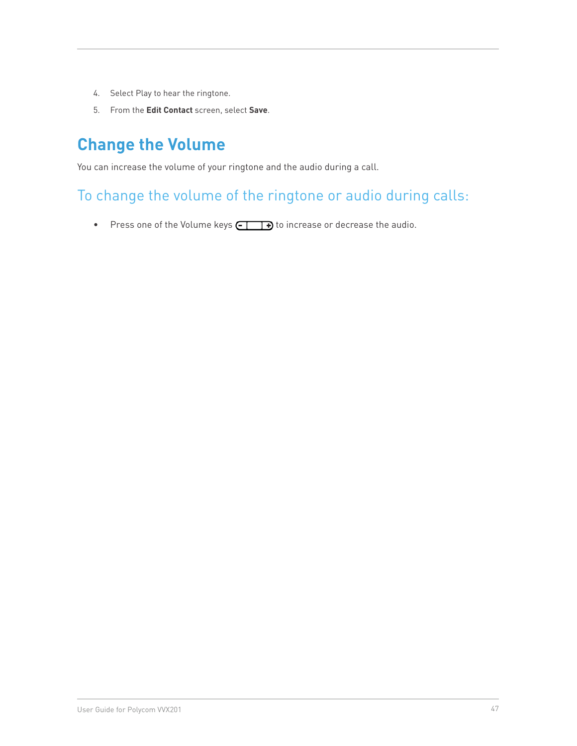- 4. Select Play to hear the ringtone.
- 5. From the **Edit Contact** screen, select **Save**.

# **Change the Volume**

You can increase the volume of your ringtone and the audio during a call.

# To change the volume of the ringtone or audio during calls:

• Press one of the Volume keys  $\square \longrightarrow$  to increase or decrease the audio.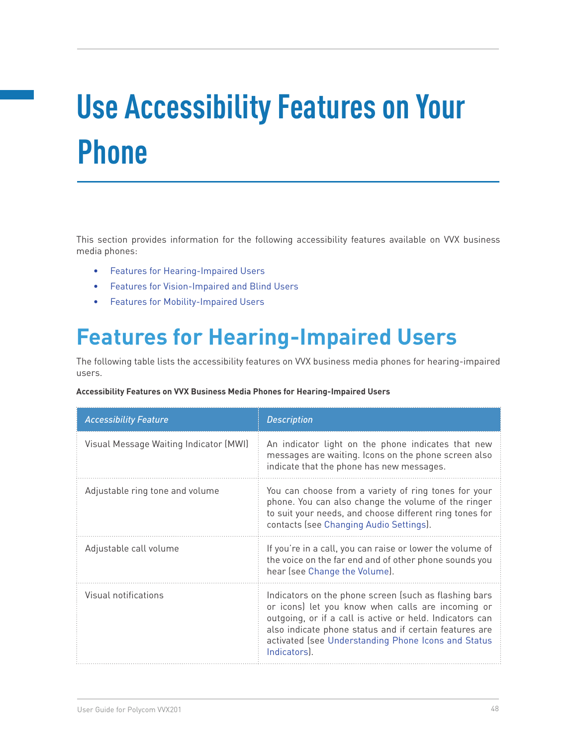# **Use Accessibility Features on Your Phone**

This section provides information for the following accessibility features available on VVX business media phones:

- • Features for Hearing-Impaired Users
- • Features for Vision-Impaired and Blind Users
- • Features for Mobility-Impaired Users

# **Features for Hearing-Impaired Users**

The following table lists the accessibility features on VVX business media phones for hearing-impaired users.

#### **Accessibility Features on VVX Business Media Phones for Hearing-Impaired Users**

| <b>Accessibility Feature</b>           | <b>Description</b>                                                                                                                                                                                                                                                                                      |
|----------------------------------------|---------------------------------------------------------------------------------------------------------------------------------------------------------------------------------------------------------------------------------------------------------------------------------------------------------|
| Visual Message Waiting Indicator (MWI) | An indicator light on the phone indicates that new<br>messages are waiting. Icons on the phone screen also<br>indicate that the phone has new messages.                                                                                                                                                 |
| Adjustable ring tone and volume        | You can choose from a variety of ring tones for your<br>phone. You can also change the volume of the ringer<br>to suit your needs, and choose different ring tones for<br>contacts (see Changing Audio Settings).                                                                                       |
| Adjustable call volume                 | If you're in a call, you can raise or lower the volume of<br>the voice on the far end and of other phone sounds you<br>hear (see Change the Volume).                                                                                                                                                    |
| Visual notifications                   | Indicators on the phone screen (such as flashing bars<br>or icons) let you know when calls are incoming or<br>outgoing, or if a call is active or held. Indicators can<br>also indicate phone status and if certain features are<br>activated (see Understanding Phone Icons and Status<br>Indicators). |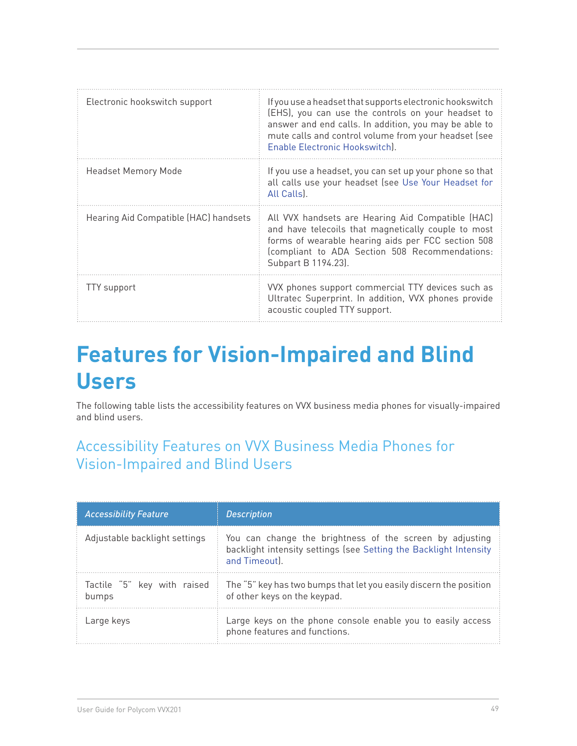| Electronic hookswitch support         | If you use a headset that supports electronic hookswitch<br>(EHS), you can use the controls on your headset to<br>answer and end calls. In addition, you may be able to<br>mute calls and control volume from your headset (see<br>Enable Electronic Hookswitch). |
|---------------------------------------|-------------------------------------------------------------------------------------------------------------------------------------------------------------------------------------------------------------------------------------------------------------------|
| Headset Memory Mode                   | If you use a headset, you can set up your phone so that<br>all calls use your headset (see Use Your Headset for<br>All Calls).                                                                                                                                    |
| Hearing Aid Compatible (HAC) handsets | All VVX handsets are Hearing Aid Compatible (HAC)<br>and have telecoils that magnetically couple to most<br>forms of wearable hearing aids per FCC section 508<br>(compliant to ADA Section 508 Recommendations:<br>Subpart B 1194.23).                           |
| <b>TTY</b> support                    | VVX phones support commercial TTY devices such as<br>Ultratec Superprint. In addition, VVX phones provide<br>acoustic coupled TTY support.                                                                                                                        |

# **Features for Vision-Impaired and Blind Users**

The following table lists the accessibility features on VVX business media phones for visually-impaired and blind users.

# Accessibility Features on VVX Business Media Phones for Vision-Impaired and Blind Users

| <b>Accessibility Feature</b>         | <b>Description</b>                                                                                                                             |
|--------------------------------------|------------------------------------------------------------------------------------------------------------------------------------------------|
| Adjustable backlight settings        | You can change the brightness of the screen by adjusting<br>backlight intensity settings (see Setting the Backlight Intensity<br>and Timeout). |
| Tactile "5" key with raised<br>bumps | The "5" key has two bumps that let you easily discern the position<br>of other keys on the keypad.                                             |
| Large keys                           | Large keys on the phone console enable you to easily access<br>phone features and functions.                                                   |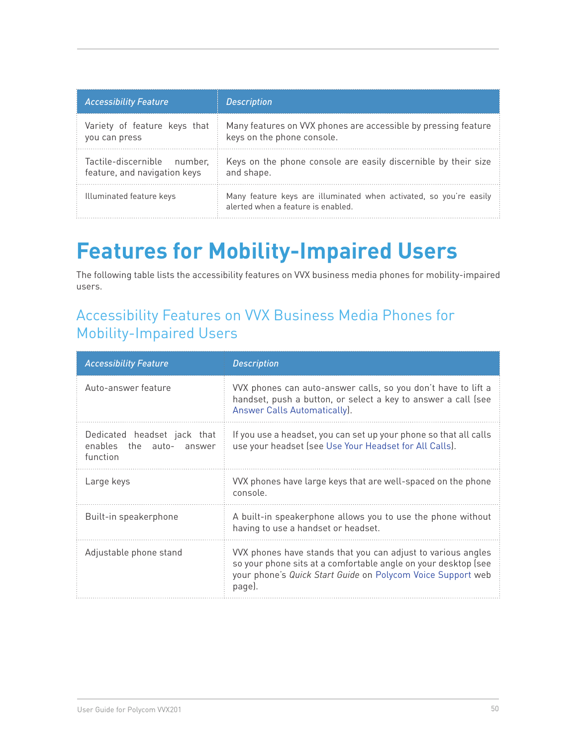| <b>Accessibility Feature</b> | <b>Description</b>                                                                                       |
|------------------------------|----------------------------------------------------------------------------------------------------------|
| Variety of feature keys that | Many features on VVX phones are accessible by pressing feature                                           |
| you can press                | keys on the phone console.                                                                               |
| Tactile-discernible number.  | Keys on the phone console are easily discernible by their size                                           |
| feature, and navigation keys | and shape.                                                                                               |
| Illuminated feature keys     | Many feature keys are illuminated when activated, so you're easily<br>alerted when a feature is enabled. |

# **Features for Mobility-Impaired Users**

The following table lists the accessibility features on VVX business media phones for mobility-impaired users.

# Accessibility Features on VVX Business Media Phones for Mobility-Impaired Users

| <b>Accessibility Feature</b>                                        | <b>Description</b>                                                                                                                                                                                      |
|---------------------------------------------------------------------|---------------------------------------------------------------------------------------------------------------------------------------------------------------------------------------------------------|
| Auto-answer feature                                                 | VVX phones can auto-answer calls, so you don't have to lift a<br>handset, push a button, or select a key to answer a call (see<br>Answer Calls Automatically).                                          |
| Dedicated headset jack that<br>enables the auto- answer<br>function | If you use a headset, you can set up your phone so that all calls<br>use your headset (see Use Your Headset for All Calls).                                                                             |
| Large keys                                                          | VVX phones have large keys that are well-spaced on the phone<br>console.                                                                                                                                |
| Built-in speakerphone                                               | A built-in speakerphone allows you to use the phone without<br>having to use a handset or headset.                                                                                                      |
| Adjustable phone stand                                              | VVX phones have stands that you can adjust to various angles<br>so your phone sits at a comfortable angle on your desktop (see<br>your phone's Quick Start Guide on Polycom Voice Support web<br>page). |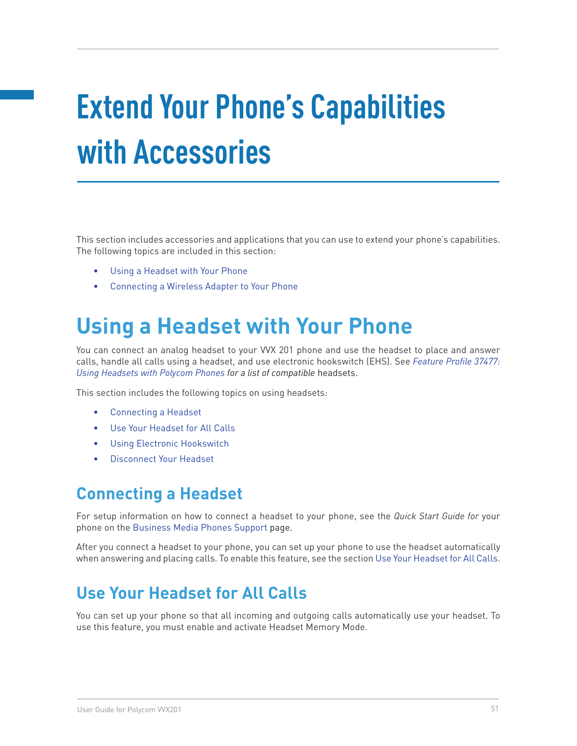# **Extend Your Phone's Capabilities with Accessories**

This section includes accessories and applications that you can use to extend your phone's capabilities. The following topics are included in this section:

- Using a Headset with Your Phone
- • Connecting a Wireless Adapter to Your Phone

# **Using a Headset with Your Phone**

You can connect an analog headset to your VVX 201 phone and use the headset to place and answer calls, handle all calls using a headset, and use electronic hookswitch (EHS). See *Feature Profile 37477: Using Headsets with Polycom Phones for a list of compatible* headsets.

This section includes the following topics on using headsets:

- Connecting a Headset
- Use Your Headset for All Calls
- • Using Electronic Hookswitch
- Disconnect Your Headset

## **Connecting a Headset**

For setup information on how to connect a headset to your phone, see the *Quick Start Guide for* your phone on the Business Media Phones Support page.

After you connect a headset to your phone, you can set up your phone to use the headset automatically when answering and placing calls. To enable this feature, see the section Use Your Headset for All Calls.

# **Use Your Headset for All Calls**

You can set up your phone so that all incoming and outgoing calls automatically use your headset. To use this feature, you must enable and activate Headset Memory Mode.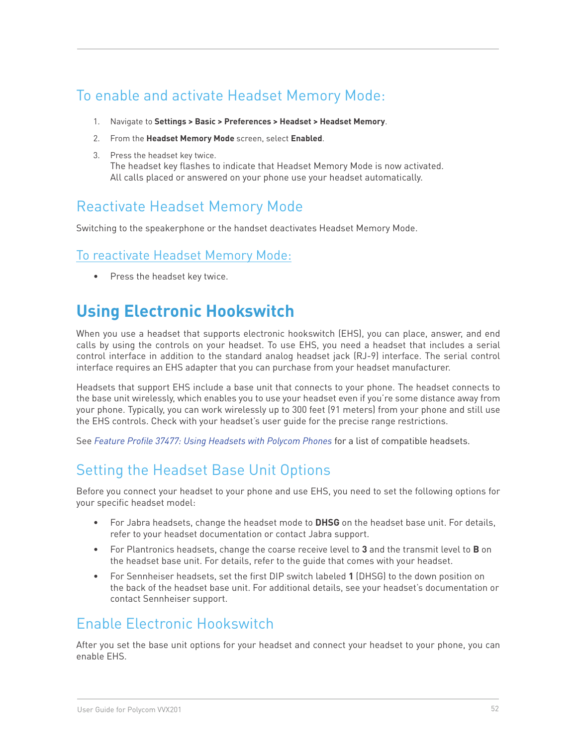# To enable and activate Headset Memory Mode:

- 1. Navigate to **Settings > Basic > Preferences > Headset > Headset Memory**.
- 2. From the **Headset Memory Mode** screen, select **Enabled**.
- 3. Press the headset key twice. The headset key flashes to indicate that Headset Memory Mode is now activated. All calls placed or answered on your phone use your headset automatically.

## Reactivate Headset Memory Mode

Switching to the speakerphone or the handset deactivates Headset Memory Mode.

#### To reactivate Headset Memory Mode:

Press the headset key twice.

# **Using Electronic Hookswitch**

When you use a headset that supports electronic hookswitch (EHS), you can place, answer, and end calls by using the controls on your headset. To use EHS, you need a headset that includes a serial control interface in addition to the standard analog headset jack (RJ-9) interface. The serial control interface requires an EHS adapter that you can purchase from your headset manufacturer.

Headsets that support EHS include a base unit that connects to your phone. The headset connects to the base unit wirelessly, which enables you to use your headset even if you're some distance away from your phone. Typically, you can work wirelessly up to 300 feet (91 meters) from your phone and still use the EHS controls. Check with your headset's user guide for the precise range restrictions.

See *Feature Profile 37477: Using Headsets with Polycom Phones* for a list of compatible headsets.

# Setting the Headset Base Unit Options

Before you connect your headset to your phone and use EHS, you need to set the following options for your specific headset model:

- For Jabra headsets, change the headset mode to **DHSG** on the headset base unit. For details, refer to your headset documentation or contact Jabra support.
- • For Plantronics headsets, change the coarse receive level to **3** and the transmit level to **B** on the headset base unit. For details, refer to the guide that comes with your headset.
- • For Sennheiser headsets, set the first DIP switch labeled **1** (DHSG) to the down position on the back of the headset base unit. For additional details, see your headset's documentation or contact Sennheiser support.

## Enable Electronic Hookswitch

After you set the base unit options for your headset and connect your headset to your phone, you can enable EHS.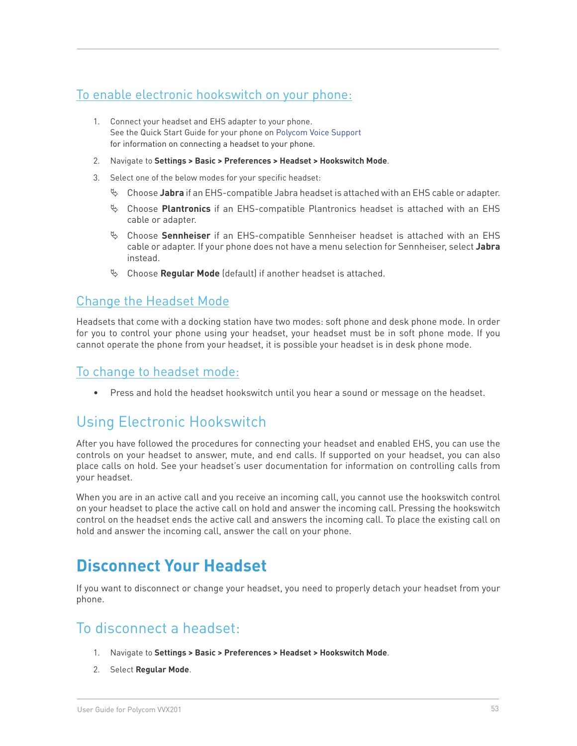#### To enable electronic hookswitch on your phone:

- 1. Connect your headset and EHS adapter to your phone. See the Quick Start Guide for your phone on Polycom Voice Support for information on connecting a headset to your phone.
- 2. Navigate to **Settings > Basic > Preferences > Headset > Hookswitch Mode**.
- 3. Select one of the below modes for your specific headset:
	- ª Choose **Jabra** if an EHS-compatible Jabra headset is attached with an EHS cable or adapter.
	- <sup> $\upphi$ </sup> Choose **Plantronics** if an EHS-compatible Plantronics headset is attached with an EHS cable or adapter.
	- ª Choose **Sennheiser** if an EHS-compatible Sennheiser headset is attached with an EHS cable or adapter. If your phone does not have a menu selection for Sennheiser, select **Jabra**  instead.
	- ª Choose **Regular Mode** (default) if another headset is attached.

#### Change the Headset Mode

Headsets that come with a docking station have two modes: soft phone and desk phone mode. In order for you to control your phone using your headset, your headset must be in soft phone mode. If you cannot operate the phone from your headset, it is possible your headset is in desk phone mode.

#### To change to headset mode:

• Press and hold the headset hookswitch until you hear a sound or message on the headset.

## Using Electronic Hookswitch

After you have followed the procedures for connecting your headset and enabled EHS, you can use the controls on your headset to answer, mute, and end calls. If supported on your headset, you can also place calls on hold. See your headset's user documentation for information on controlling calls from your headset.

When you are in an active call and you receive an incoming call, you cannot use the hookswitch control on your headset to place the active call on hold and answer the incoming call. Pressing the hookswitch control on the headset ends the active call and answers the incoming call. To place the existing call on hold and answer the incoming call, answer the call on your phone.

# **Disconnect Your Headset**

If you want to disconnect or change your headset, you need to properly detach your headset from your phone.

## To disconnect a headset:

- 1. Navigate to **Settings > Basic > Preferences > Headset > Hookswitch Mode**.
- 2. Select **Regular Mode**.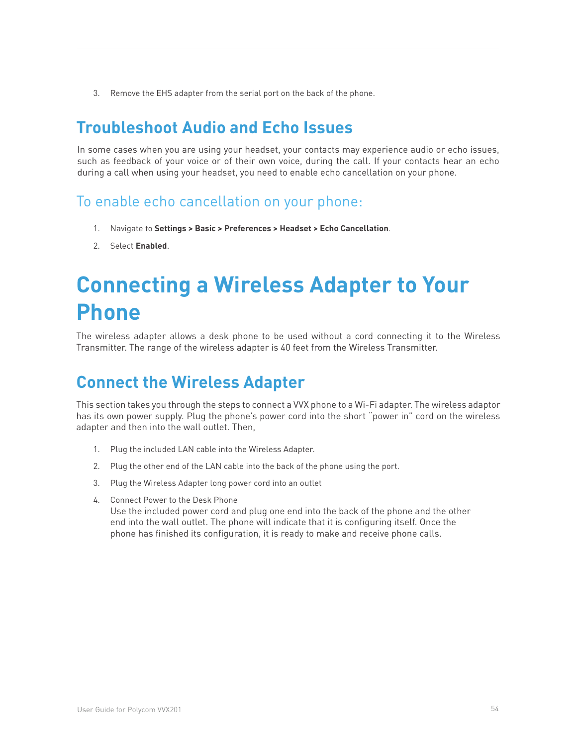3. Remove the EHS adapter from the serial port on the back of the phone.

# **Troubleshoot Audio and Echo Issues**

In some cases when you are using your headset, your contacts may experience audio or echo issues, such as feedback of your voice or of their own voice, during the call. If your contacts hear an echo during a call when using your headset, you need to enable echo cancellation on your phone.

To enable echo cancellation on your phone:

- 1. Navigate to **Settings > Basic > Preferences > Headset > Echo Cancellation**.
- 2. Select **Enabled**.

# **Connecting a Wireless Adapter to Your Phone**

The wireless adapter allows a desk phone to be used without a cord connecting it to the Wireless Transmitter. The range of the wireless adapter is 40 feet from the Wireless Transmitter.

# **Connect the Wireless Adapter**

This section takes you through the steps to connect a VVX phone to a Wi-Fi adapter. The wireless adaptor has its own power supply. Plug the phone's power cord into the short "power in" cord on the wireless adapter and then into the wall outlet. Then,

- 1. Plug the included LAN cable into the Wireless Adapter.
- 2. Plug the other end of the LAN cable into the back of the phone using the port.
- 3. Plug the Wireless Adapter long power cord into an outlet
- 4. Connect Power to the Desk Phone

Use the included power cord and plug one end into the back of the phone and the other end into the wall outlet. The phone will indicate that it is configuring itself. Once the phone has finished its configuration, it is ready to make and receive phone calls.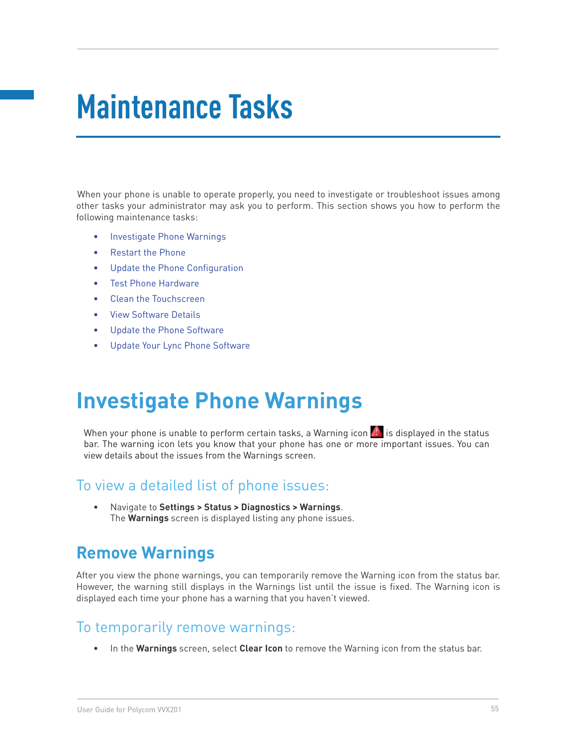# **Maintenance Tasks**

When your phone is unable to operate properly, you need to investigate or troubleshoot issues among other tasks your administrator may ask you to perform. This section shows you how to perform the following maintenance tasks:

- • Investigate Phone Warnings
- **Restart the Phone**
- Update the Phone Configuration
- Test Phone Hardware
- Clean the Touchscreen
- **View Software Details**
- Update the Phone Software
- Update Your Lync Phone Software

# **Investigate Phone Warnings**

When your phone is unable to perform certain tasks, a Warning icon  $\mathcal{P}_s$  is displayed in the status bar. The warning icon lets you know that your phone has one or more important issues. You can view details about the issues from the Warnings screen.

#### To view a detailed list of phone issues:

• Navigate to **Settings > Status > Diagnostics > Warnings**. The **Warnings** screen is displayed listing any phone issues.

# **Remove Warnings**

After you view the phone warnings, you can temporarily remove the Warning icon from the status bar. However, the warning still displays in the Warnings list until the issue is fixed. The Warning icon is displayed each time your phone has a warning that you haven't viewed.

#### To temporarily remove warnings:

• In the **Warnings** screen, select **Clear Icon** to remove the Warning icon from the status bar.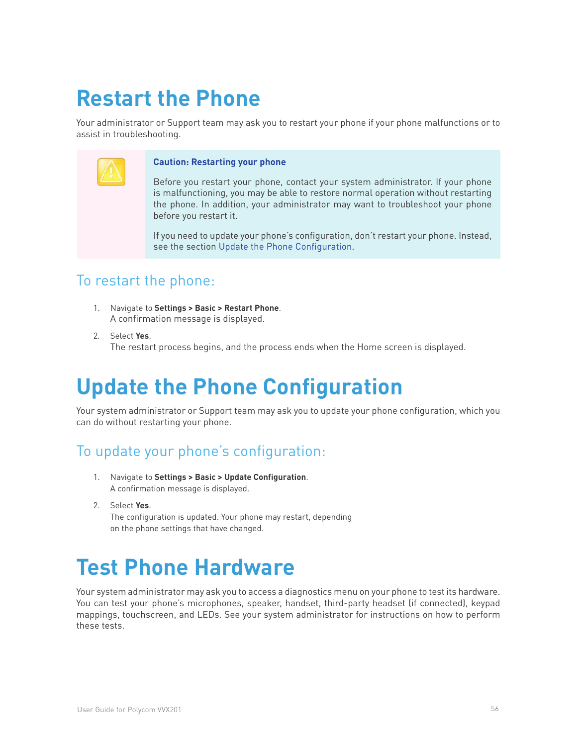# **Restart the Phone**

Your administrator or Support team may ask you to restart your phone if your phone malfunctions or to assist in troubleshooting.



#### **Caution: Restarting your phone**

Before you restart your phone, contact your system administrator. If your phone is malfunctioning, you may be able to restore normal operation without restarting the phone. In addition, your administrator may want to troubleshoot your phone before you restart it.

If you need to update your phone's configuration, don't restart your phone. Instead, see the section Update the Phone Configuration.

#### To restart the phone:

- 1. Navigate to **Settings > Basic > Restart Phone**. A confirmation message is displayed.
- 2. Select **Yes**. The restart process begins, and the process ends when the Home screen is displayed.

# **Update the Phone Configuration**

Your system administrator or Support team may ask you to update your phone configuration, which you can do without restarting your phone.

## To update your phone's configuration:

- 1. Navigate to **Settings > Basic > Update Configuration**. A confirmation message is displayed.
- 2. Select **Yes**.

The configuration is updated. Your phone may restart, depending on the phone settings that have changed.

# **Test Phone Hardware**

Your system administrator may ask you to access a diagnostics menu on your phone to test its hardware. You can test your phone's microphones, speaker, handset, third-party headset (if connected), keypad mappings, touchscreen, and LEDs. See your system administrator for instructions on how to perform these tests.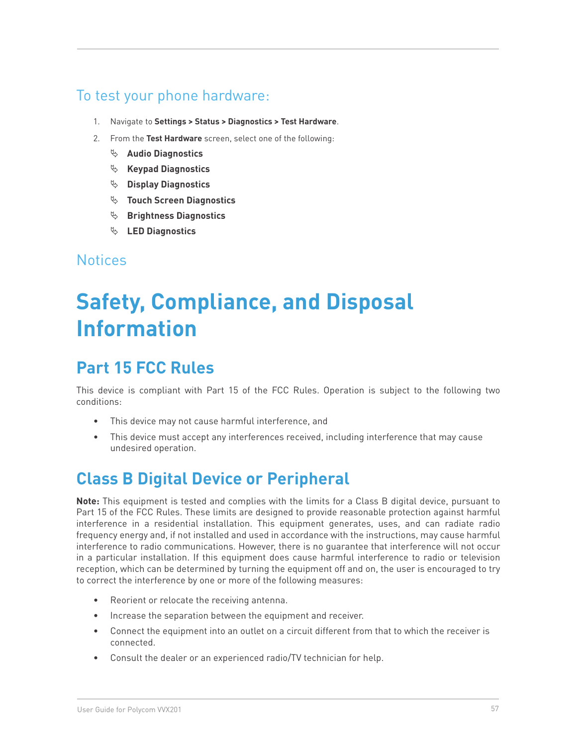### To test your phone hardware:

- 1. Navigate to **Settings > Status > Diagnostics > Test Hardware**.
- 2. From the **Test Hardware** screen, select one of the following:
	- ª **Audio Diagnostics**
	- ª **Keypad Diagnostics**
	- ª **Display Diagnostics**
	- ª **Touch Screen Diagnostics**
	- <sup> $\&$ </sup> Brightness Diagnostics
	- ª **LED Diagnostics**

#### **Notices**

# **Safety, Compliance, and Disposal Information**

# **Part 15 FCC Rules**

This device is compliant with Part 15 of the FCC Rules. Operation is subject to the following two conditions:

- This device may not cause harmful interference, and
- This device must accept any interferences received, including interference that may cause undesired operation.

# **Class B Digital Device or Peripheral**

**Note:** This equipment is tested and complies with the limits for a Class B digital device, pursuant to Part 15 of the FCC Rules. These limits are designed to provide reasonable protection against harmful interference in a residential installation. This equipment generates, uses, and can radiate radio frequency energy and, if not installed and used in accordance with the instructions, may cause harmful interference to radio communications. However, there is no guarantee that interference will not occur in a particular installation. If this equipment does cause harmful interference to radio or television reception, which can be determined by turning the equipment off and on, the user is encouraged to try to correct the interference by one or more of the following measures:

- Reorient or relocate the receiving antenna.
- Increase the separation between the equipment and receiver.
- Connect the equipment into an outlet on a circuit different from that to which the receiver is connected.
- Consult the dealer or an experienced radio/TV technician for help.